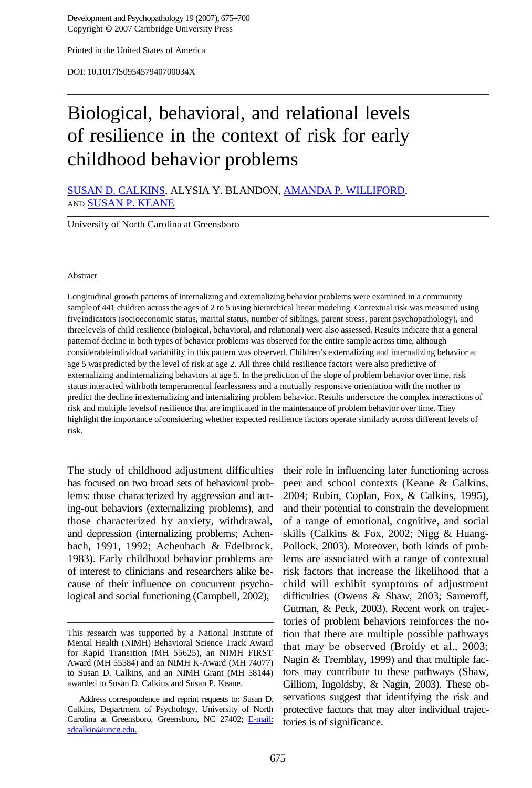Printed in the United States of America

DOI: 10.1017lS095457940700034X

# Biological, behavioral, and relational levels of resilience in the context of risk for early childhood behavior problems

[SUSAN D. CALKINS,](http://libres.uncg.edu/ir/uncg/clist.aspx?id=1258) ALYSIA Y. BLANDON, [AMANDA P. WILLIFORD,](http://libres.uncg.edu/ir/uncg/clist.aspx?id=319) AND **[SUSAN P. KEANE](http://libres.uncg.edu/ir/uncg/clist.aspx?id=557)** 

University of North Carolina at Greensboro

#### Abstract

Longitudinal growth patterns of internalizing and externalizing behavior problems were examined in a community sample of 441 children across the ages of 2 to 5 using hierarchical linear modeling. Contextual risk was measured using fiveindicators (socioeconomic status, marital status, number of siblings, parent stress, parent psychopathology), and threelevels of child resilience (biological, behavioral, and relational) were also assessed. Results indicate that a general patternof decline in both types of behavior problems was observed for the entire sample across time, although considerableindividual variability in this pattern was observed. Children's externalizing and internalizing behavior at age 5 waspredicted by the level of risk at age 2. All three child resilience factors were also predictive of externalizing andinternalizing behaviors at age 5. In the prediction of the slope of problem behavior over time, risk status interacted withboth temperamental fearlessness and a mutually responsive orientation with the mother to predict the decline inexternalizing and internalizing problem behavior. Results underscore the complex interactions of risk and multiple levelsof resilience that are implicated in the maintenance of problem behavior over time. They highlight the importance ofconsidering whether expected resilience factors operate similarly across different levels of risk.

The study of childhood adjustment difficulties has focused on two broad sets of behavioral problems: those characterized by aggression and acting-out behaviors (externalizing problems), and those characterized by anxiety, withdrawal, and depression (internalizing problems; Achenbach, 1991, 1992; Achenbach & Edelbrock, 1983). Early childhood behavior problems are of interest to clinicians and researchers alike because of their influence on concurrent psychological and social functioning (Campbell, 2002),

their role in influencing later functioning across peer and school contexts (Keane & Calkins, 2004; Rubin, Coplan, Fox, & Calkins, 1995), and their potential to constrain the development of a range of emotional, cognitive, and social skills (Calkins & Fox, 2002; Nigg & Huang-Pollock, 2003). Moreover, both kinds of problems are associated with a range of contextual risk factors that increase the likelihood that a child will exhibit symptoms of adjustment difficulties (Owens & Shaw, 2003; Sameroff, Gutman, & Peck, 2003). Recent work on trajectories of problem behaviors reinforces the notion that there are multiple possible pathways that may be observed (Broidy et al., 2003; Nagin & Tremblay, 1999) and that multiple factors may contribute to these pathways (Shaw, Gilliom, Ingoldsby, & Nagin, 2003). These observations suggest that identifying the risk and protective factors that may alter individual trajectories is of significance.

This research was supported by a National Institute of Mental Health (NIMH) Behavioral Science Track Award for Rapid Transition (MH 55625), an NIMH FIRST Award (MH 55584) and an NIMH K-Award (MH 74077) to Susan D. Calkins, and an NIMH Grant (MH 58144) awarded to Susan D. Calkins and Susan P. Keane.

Address correspondence and reprint requests to: Susan D. Calkins, Department of Psychology, University of North Carolina at Greensboro, Greensboro, NC 27402; E-mail: sdcalkin@uncg.edu.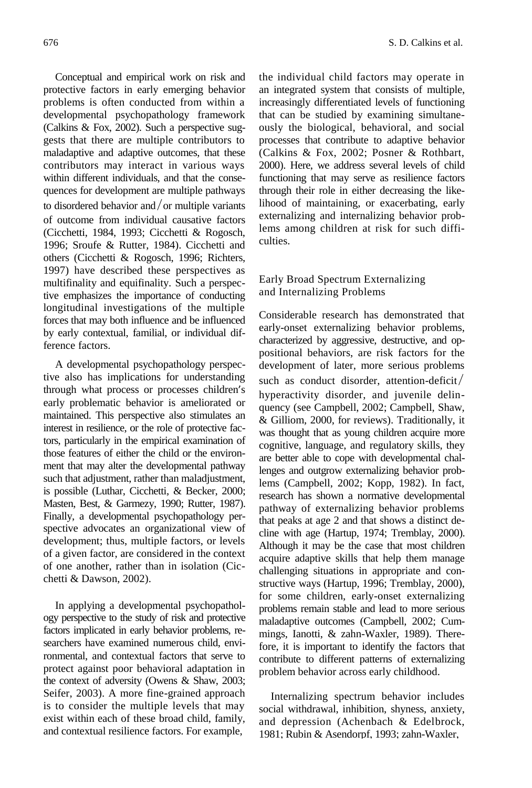Conceptual and empirical work on risk and protective factors in early emerging behavior problems is often conducted from within a developmental psychopathology framework (Calkins & Fox, 2002). Such a perspective suggests that there are multiple contributors to maladaptive and adaptive outcomes, that these contributors may interact in various ways within different individuals, and that the consequences for development are multiple pathways to disordered behavior and/or multiple variants of outcome from individual causative factors (Cicchetti, 1984, 1993; Cicchetti & Rogosch, 1996; Sroufe & Rutter, 1984). Cicchetti and others (Cicchetti & Rogosch, 1996; Richters, 1997) have described these perspectives as multifinality and equifinality. Such a perspective emphasizes the importance of conducting longitudinal investigations of the multiple forces that may both influence and be influenced by early contextual, familial, or individual difference factors.

A developmental psychopathology perspective also has implications for understanding through what process or processes children's early problematic behavior is ameliorated or maintained. This perspective also stimulates an interest in resilience, or the role of protective factors, particularly in the empirical examination of those features of either the child or the environment that may alter the developmental pathway such that adjustment, rather than maladjustment, is possible (Luthar, Cicchetti, & Becker, 2000; Masten, Best, & Garmezy, 1990; Rutter, 1987). Finally, a developmental psychopathology perspective advocates an organizational view of development; thus, multiple factors, or levels of a given factor, are considered in the context of one another, rather than in isolation (Cicchetti & Dawson, 2002).

In applying a developmental psychopathology perspective to the study of risk and protective factors implicated in early behavior problems, researchers have examined numerous child, environmental, and contextual factors that serve to protect against poor behavioral adaptation in the context of adversity (Owens & Shaw, 2003; Seifer, 2003). A more fine-grained approach is to consider the multiple levels that may exist within each of these broad child, family, and contextual resilience factors. For example,

the individual child factors may operate in an integrated system that consists of multiple, increasingly differentiated levels of functioning that can be studied by examining simultaneously the biological, behavioral, and social processes that contribute to adaptive behavior (Calkins & Fox, 2002; Posner & Rothbart, 2000). Here, we address several levels of child functioning that may serve as resilience factors through their role in either decreasing the likelihood of maintaining, or exacerbating, early externalizing and internalizing behavior problems among children at risk for such difficulties.

# Early Broad Spectrum Externalizing and Internalizing Problems

Considerable research has demonstrated that early-onset externalizing behavior problems, characterized by aggressive, destructive, and oppositional behaviors, are risk factors for the development of later, more serious problems such as conduct disorder, attention-deficit/ hyperactivity disorder, and juvenile delinquency (see Campbell, 2002; Campbell, Shaw, & Gilliom, 2000, for reviews). Traditionally, it was thought that as young children acquire more cognitive, language, and regulatory skills, they are better able to cope with developmental challenges and outgrow externalizing behavior problems (Campbell, 2002; Kopp, 1982). In fact, research has shown a normative developmental pathway of externalizing behavior problems that peaks at age 2 and that shows a distinct decline with age (Hartup, 1974; Tremblay, 2000). Although it may be the case that most children acquire adaptive skills that help them manage challenging situations in appropriate and constructive ways (Hartup, 1996; Tremblay, 2000), for some children, early-onset externalizing problems remain stable and lead to more serious maladaptive outcomes (Campbell, 2002; Cummings, Ianotti, & zahn-Waxler, 1989). Therefore, it is important to identify the factors that contribute to different patterns of externalizing problem behavior across early childhood.

Internalizing spectrum behavior includes social withdrawal, inhibition, shyness, anxiety, and depression (Achenbach & Edelbrock, 1981; Rubin & Asendorpf, 1993; zahn-Waxler,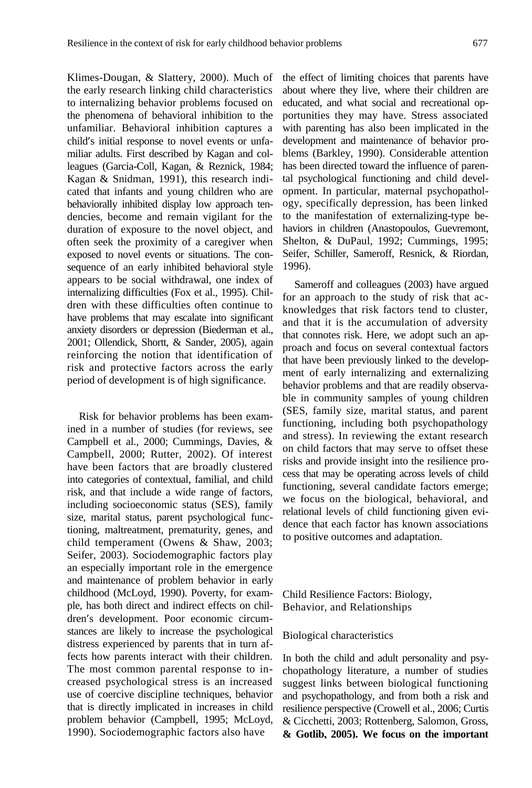Klimes-Dougan, & Slattery, 2000). Much of the early research linking child characteristics to internalizing behavior problems focused on the phenomena of behavioral inhibition to the unfamiliar. Behavioral inhibition captures a child's initial response to novel events or unfamiliar adults. First described by Kagan and colleagues (Garcia-Coll, Kagan, & Reznick, 1984; Kagan & Snidman, 1991), this research indicated that infants and young children who are behaviorally inhibited display low approach tendencies, become and remain vigilant for the duration of exposure to the novel object, and often seek the proximity of a caregiver when exposed to novel events or situations. The consequence of an early inhibited behavioral style appears to be social withdrawal, one index of internalizing difficulties (Fox et al., 1995). Children with these difficulties often continue to have problems that may escalate into significant anxiety disorders or depression (Biederman et al., 2001; Ollendick, Shortt, & Sander, 2005), again reinforcing the notion that identification of risk and protective factors across the early period of development is of high significance.

Risk for behavior problems has been examined in a number of studies (for reviews, see Campbell et al., 2000; Cummings, Davies, & Campbell, 2000; Rutter, 2002). Of interest have been factors that are broadly clustered into categories of contextual, familial, and child risk, and that include a wide range of factors, including socioeconomic status (SES), family size, marital status, parent psychological functioning, maltreatment, prematurity, genes, and child temperament (Owens & Shaw, 2003; Seifer, 2003). Sociodemographic factors play an especially important role in the emergence and maintenance of problem behavior in early childhood (McLoyd, 1990). Poverty, for example, has both direct and indirect effects on children's development. Poor economic circumstances are likely to increase the psychological distress experienced by parents that in turn affects how parents interact with their children. The most common parental response to increased psychological stress is an increased use of coercive discipline techniques, behavior that is directly implicated in increases in child problem behavior (Campbell, 1995; McLoyd, 1990). Sociodemographic factors also have

the effect of limiting choices that parents have about where they live, where their children are educated, and what social and recreational opportunities they may have. Stress associated with parenting has also been implicated in the development and maintenance of behavior problems (Barkley, 1990). Considerable attention has been directed toward the influence of parental psychological functioning and child development. In particular, maternal psychopathology, specifically depression, has been linked to the manifestation of externalizing-type behaviors in children (Anastopoulos, Guevremont, Shelton, & DuPaul, 1992; Cummings, 1995; Seifer, Schiller, Sameroff, Resnick, & Riordan, 1996).

Sameroff and colleagues (2003) have argued for an approach to the study of risk that acknowledges that risk factors tend to cluster, and that it is the accumulation of adversity that connotes risk. Here, we adopt such an approach and focus on several contextual factors that have been previously linked to the development of early internalizing and externalizing behavior problems and that are readily observable in community samples of young children (SES, family size, marital status, and parent functioning, including both psychopathology and stress). In reviewing the extant research on child factors that may serve to offset these risks and provide insight into the resilience process that may be operating across levels of child functioning, several candidate factors emerge; we focus on the biological, behavioral, and relational levels of child functioning given evidence that each factor has known associations to positive outcomes and adaptation.

Child Resilience Factors: Biology, Behavior, and Relationships

Biological characteristics

In both the child and adult personality and psychopathology literature, a number of studies suggest links between biological functioning and psychopathology, and from both a risk and resilience perspective (Crowell et al., 2006; Curtis & Cicchetti, 2003; Rottenberg, Salomon, Gross, **& Gotlib, 2005). We focus on the important**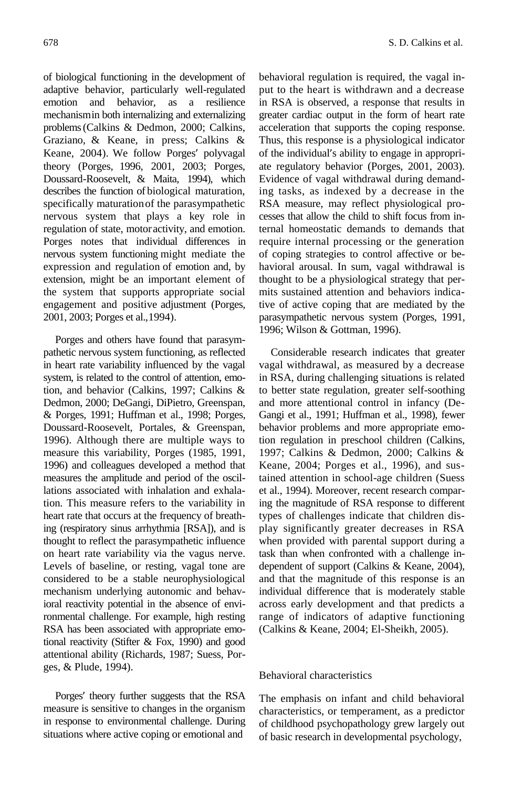of biological functioning in the development of adaptive behavior, particularly well-regulated emotion and behavior, as a resilience mechanismin both internalizing and externalizing problems(Calkins & Dedmon, 2000; Calkins, Graziano, & Keane, in press; Calkins & Keane, 2004). We follow Porges' polyvagal theory (Porges, 1996, 2001, 2003; Porges, Doussard-Roosevelt, & Maita, 1994), which describes the function of biological maturation, specifically maturationof the parasympathetic nervous system that plays a key role in regulation of state, motoractivity, and emotion. Porges notes that individual differences in nervous system functioning might mediate the expression and regulation of emotion and, by extension, might be an important element of the system that supports appropriate social engagement and positive adjustment (Porges, 2001, 2003; Porges et al.,1994).

Porges and others have found that parasympathetic nervous system functioning, as reflected in heart rate variability influenced by the vagal system, is related to the control of attention, emotion, and behavior (Calkins, 1997; Calkins & Dedmon, 2000; DeGangi, DiPietro, Greenspan, & Porges, 1991; Huffman et al., 1998; Porges, Doussard-Roosevelt, Portales, & Greenspan, 1996). Although there are multiple ways to measure this variability, Porges (1985, 1991, 1996) and colleagues developed a method that measures the amplitude and period of the oscillations associated with inhalation and exhalation. This measure refers to the variability in heart rate that occurs at the frequency of breathing (respiratory sinus arrhythmia [RSA]), and is thought to reflect the parasympathetic influence on heart rate variability via the vagus nerve. Levels of baseline, or resting, vagal tone are considered to be a stable neurophysiological mechanism underlying autonomic and behavioral reactivity potential in the absence of environmental challenge. For example, high resting RSA has been associated with appropriate emotional reactivity (Stifter & Fox, 1990) and good attentional ability (Richards, 1987; Suess, Porges, & Plude, 1994).

Porges' theory further suggests that the RSA measure is sensitive to changes in the organism in response to environmental challenge. During situations where active coping or emotional and

behavioral regulation is required, the vagal input to the heart is withdrawn and a decrease in RSA is observed, a response that results in greater cardiac output in the form of heart rate acceleration that supports the coping response. Thus, this response is a physiological indicator of the individual's ability to engage in appropriate regulatory behavior (Porges, 2001, 2003). Evidence of vagal withdrawal during demanding tasks, as indexed by a decrease in the RSA measure, may reflect physiological processes that allow the child to shift focus from internal homeostatic demands to demands that require internal processing or the generation of coping strategies to control affective or behavioral arousal. In sum, vagal withdrawal is thought to be a physiological strategy that permits sustained attention and behaviors indicative of active coping that are mediated by the parasympathetic nervous system (Porges, 1991, 1996; Wilson & Gottman, 1996).

Considerable research indicates that greater vagal withdrawal, as measured by a decrease in RSA, during challenging situations is related to better state regulation, greater self-soothing and more attentional control in infancy (De-Gangi et al., 1991; Huffman et al., 1998), fewer behavior problems and more appropriate emotion regulation in preschool children (Calkins, 1997; Calkins & Dedmon, 2000; Calkins & Keane, 2004; Porges et al., 1996), and sustained attention in school-age children (Suess et al., 1994). Moreover, recent research comparing the magnitude of RSA response to different types of challenges indicate that children display significantly greater decreases in RSA when provided with parental support during a task than when confronted with a challenge independent of support (Calkins & Keane, 2004), and that the magnitude of this response is an individual difference that is moderately stable across early development and that predicts a range of indicators of adaptive functioning (Calkins & Keane, 2004; El-Sheikh, 2005).

## Behavioral characteristics

The emphasis on infant and child behavioral characteristics, or temperament, as a predictor of childhood psychopathology grew largely out of basic research in developmental psychology,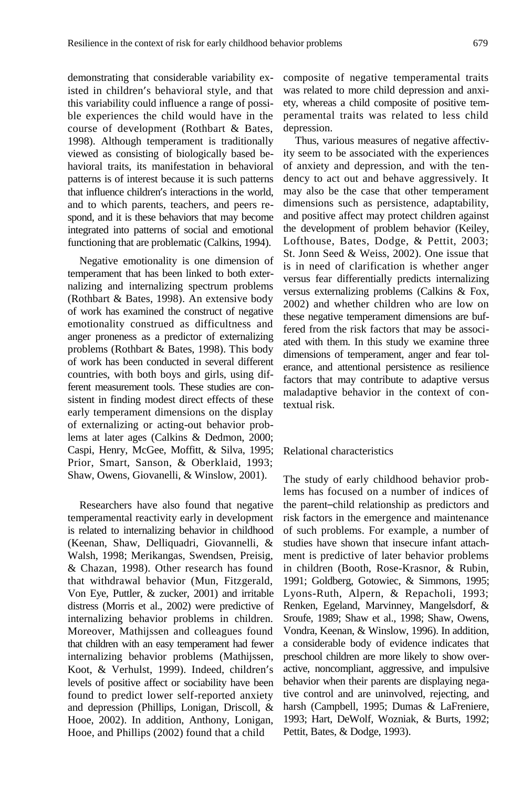demonstrating that considerable variability existed in children's behavioral style, and that this variability could influence a range of possible experiences the child would have in the course of development (Rothbart & Bates, 1998). Although temperament is traditionally viewed as consisting of biologically based behavioral traits, its manifestation in behavioral patterns is of interest because it is such patterns that influence children's interactions in the world, and to which parents, teachers, and peers respond, and it is these behaviors that may become integrated into patterns of social and emotional functioning that are problematic (Calkins, 1994).

Negative emotionality is one dimension of temperament that has been linked to both externalizing and internalizing spectrum problems (Rothbart & Bates, 1998). An extensive body of work has examined the construct of negative emotionality construed as difficultness and anger proneness as a predictor of externalizing problems (Rothbart & Bates, 1998). This body of work has been conducted in several different countries, with both boys and girls, using different measurement tools. These studies are consistent in finding modest direct effects of these early temperament dimensions on the display of externalizing or acting-out behavior problems at later ages (Calkins & Dedmon, 2000; Caspi, Henry, McGee, Moffitt, & Silva, 1995; Prior, Smart, Sanson, & Oberklaid, 1993; Shaw, Owens, Giovanelli, & Winslow, 2001).

Researchers have also found that negative temperamental reactivity early in development is related to internalizing behavior in childhood (Keenan, Shaw, Delliquadri, Giovannelli, & Walsh, 1998; Merikangas, Swendsen, Preisig, & Chazan, 1998). Other research has found that withdrawal behavior (Mun, Fitzgerald, Von Eye, Puttler, & zucker, 2001) and irritable distress (Morris et al., 2002) were predictive of internalizing behavior problems in children. Moreover, Mathijssen and colleagues found that children with an easy temperament had fewer internalizing behavior problems (Mathijssen, Koot, & Verhulst, 1999). Indeed, children's levels of positive affect or sociability have been found to predict lower self-reported anxiety and depression (Phillips, Lonigan, Driscoll, & Hooe, 2002). In addition, Anthony, Lonigan, Hooe, and Phillips (2002) found that a child

composite of negative temperamental traits was related to more child depression and anxiety, whereas a child composite of positive temperamental traits was related to less child depression.

Thus, various measures of negative affectivity seem to be associated with the experiences of anxiety and depression, and with the tendency to act out and behave aggressively. It may also be the case that other temperament dimensions such as persistence, adaptability, and positive affect may protect children against the development of problem behavior (Keiley, Lofthouse, Bates, Dodge, & Pettit, 2003; St. Jonn Seed & Weiss, 2002). One issue that is in need of clarification is whether anger versus fear differentially predicts internalizing versus externalizing problems (Calkins & Fox, 2002) and whether children who are low on these negative temperament dimensions are buffered from the risk factors that may be associated with them. In this study we examine three dimensions of temperament, anger and fear tolerance, and attentional persistence as resilience factors that may contribute to adaptive versus maladaptive behavior in the context of contextual risk.

#### Relational characteristics

The study of early childhood behavior problems has focused on a number of indices of the parent–child relationship as predictors and risk factors in the emergence and maintenance of such problems. For example, a number of studies have shown that insecure infant attachment is predictive of later behavior problems in children (Booth, Rose-Krasnor, & Rubin, 1991; Goldberg, Gotowiec, & Simmons, 1995; Lyons-Ruth, Alpern, & Repacholi, 1993; Renken, Egeland, Marvinney, Mangelsdorf, & Sroufe, 1989; Shaw et al., 1998; Shaw, Owens, Vondra, Keenan, & Winslow, 1996). In addition, a considerable body of evidence indicates that preschool children are more likely to show overactive, noncompliant, aggressive, and impulsive behavior when their parents are displaying negative control and are uninvolved, rejecting, and harsh (Campbell, 1995; Dumas & LaFreniere, 1993; Hart, DeWolf, Wozniak, & Burts, 1992; Pettit, Bates, & Dodge, 1993).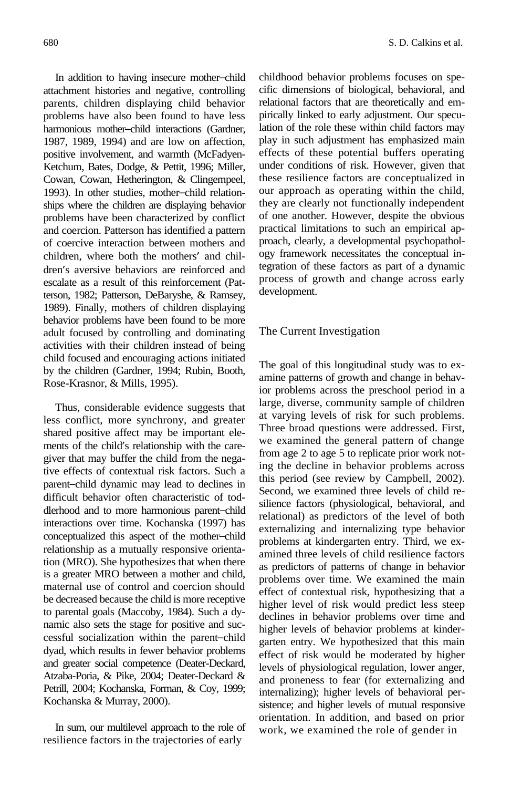In addition to having insecure mother–child attachment histories and negative, controlling parents, children displaying child behavior problems have also been found to have less harmonious mother–child interactions (Gardner, 1987, 1989, 1994) and are low on affection, positive involvement, and warmth (McFadyen-Ketchum, Bates, Dodge, & Pettit, 1996; Miller, Cowan, Cowan, Hetherington, & Clingempeel, 1993). In other studies, mother–child relationships where the children are displaying behavior problems have been characterized by conflict and coercion. Patterson has identified a pattern of coercive interaction between mothers and children, where both the mothers' and children's aversive behaviors are reinforced and escalate as a result of this reinforcement (Patterson, 1982; Patterson, DeBaryshe, & Ramsey, 1989). Finally, mothers of children displaying behavior problems have been found to be more adult focused by controlling and dominating activities with their children instead of being child focused and encouraging actions initiated by the children (Gardner, 1994; Rubin, Booth, Rose-Krasnor, & Mills, 1995).

Thus, considerable evidence suggests that less conflict, more synchrony, and greater shared positive affect may be important elements of the child's relationship with the caregiver that may buffer the child from the negative effects of contextual risk factors. Such a parent–child dynamic may lead to declines in difficult behavior often characteristic of toddlerhood and to more harmonious parent–child interactions over time. Kochanska (1997) has conceptualized this aspect of the mother–child relationship as a mutually responsive orientation (MRO). She hypothesizes that when there is a greater MRO between a mother and child, maternal use of control and coercion should be decreased because the child is more receptive to parental goals (Maccoby, 1984). Such a dynamic also sets the stage for positive and successful socialization within the parent–child dyad, which results in fewer behavior problems and greater social competence (Deater-Deckard, Atzaba-Poria, & Pike, 2004; Deater-Deckard & Petrill, 2004; Kochanska, Forman, & Coy, 1999; Kochanska & Murray, 2000).

In sum, our multilevel approach to the role of resilience factors in the trajectories of early

childhood behavior problems focuses on specific dimensions of biological, behavioral, and relational factors that are theoretically and empirically linked to early adjustment. Our speculation of the role these within child factors may play in such adjustment has emphasized main effects of these potential buffers operating under conditions of risk. However, given that these resilience factors are conceptualized in our approach as operating within the child, they are clearly not functionally independent of one another. However, despite the obvious practical limitations to such an empirical approach, clearly, a developmental psychopathology framework necessitates the conceptual integration of these factors as part of a dynamic process of growth and change across early development.

## The Current Investigation

The goal of this longitudinal study was to examine patterns of growth and change in behavior problems across the preschool period in a large, diverse, community sample of children at varying levels of risk for such problems. Three broad questions were addressed. First, we examined the general pattern of change from age 2 to age 5 to replicate prior work noting the decline in behavior problems across this period (see review by Campbell, 2002). Second, we examined three levels of child resilience factors (physiological, behavioral, and relational) as predictors of the level of both externalizing and internalizing type behavior problems at kindergarten entry. Third, we examined three levels of child resilience factors as predictors of patterns of change in behavior problems over time. We examined the main effect of contextual risk, hypothesizing that a higher level of risk would predict less steep declines in behavior problems over time and higher levels of behavior problems at kindergarten entry. We hypothesized that this main effect of risk would be moderated by higher levels of physiological regulation, lower anger, and proneness to fear (for externalizing and internalizing); higher levels of behavioral persistence; and higher levels of mutual responsive orientation. In addition, and based on prior work, we examined the role of gender in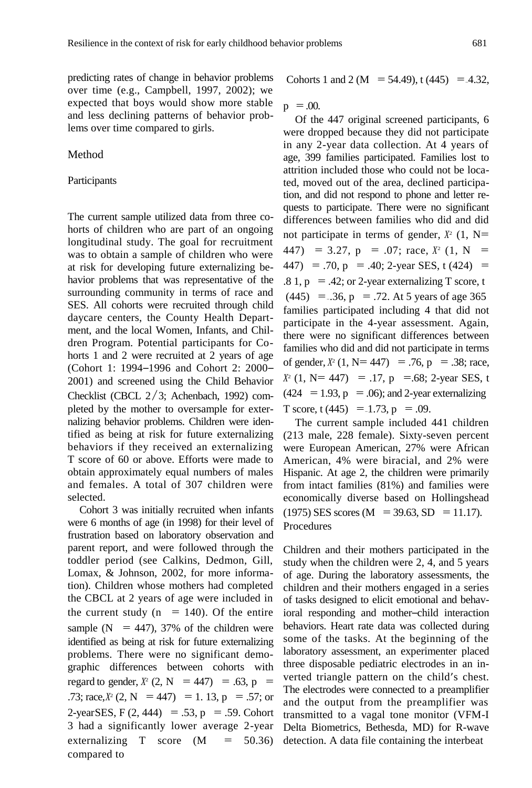predicting rates of change in behavior problems over time (e.g., Campbell, 1997, 2002); we expected that boys would show more stable and less declining patterns of behavior problems over time compared to girls.

Method

#### Participants

The current sample utilized data from three cohorts of children who are part of an ongoing longitudinal study. The goal for recruitment was to obtain a sample of children who were at risk for developing future externalizing behavior problems that was representative of the surrounding community in terms of race and SES. All cohorts were recruited through child daycare centers, the County Health Department, and the local Women, Infants, and Children Program. Potential participants for Cohorts 1 and 2 were recruited at 2 years of age (Cohort 1: 1994–1996 and Cohort 2: 2000– 2001) and screened using the Child Behavior Checklist (CBCL 2/3; Achenbach, 1992) completed by the mother to oversample for externalizing behavior problems. Children were identified as being at risk for future externalizing behaviors if they received an externalizing T score of 60 or above. Efforts were made to obtain approximately equal numbers of males and females. A total of 307 children were selected.

Cohort 3 was initially recruited when infants were 6 months of age (in 1998) for their level of frustration based on laboratory observation and parent report, and were followed through the toddler period (see Calkins, Dedmon, Gill, Lomax, & Johnson, 2002, for more information). Children whose mothers had completed the CBCL at 2 years of age were included in the current study ( $n = 140$ ). Of the entire sample ( $N = 447$ ), 37% of the children were identified as being at risk for future externalizing problems. There were no significant demographic differences between cohorts with regard to gender,  $X^2$  (2, N = 447) = .63, p = .73; race, $X^2$  (2, N = 447) = 1. 13, p = .57; or 2-yearSES, F  $(2, 444) = .53$ , p = .59. Cohort 3 had a significantly lower average 2-year externalizing T score  $(M = 50.36)$ compared to

Cohorts 1 and 2 (M = 54.49), t (445) = 4.32,

 $p = .00$ .

Of the 447 original screened participants, 6 were dropped because they did not participate in any 2-year data collection. At 4 years of age, 399 families participated. Families lost to attrition included those who could not be located, moved out of the area, declined participation, and did not respond to phone and letter requests to participate. There were no significant differences between families who did and did not participate in terms of gender,  $X^2$  (1, N= 447) = 3.27,  $p = .07$ ; race,  $X^2$  (1, N = 447) = .70, p = .40; 2-year SES, t (424) =  $.8 1, p = .42$ ; or 2-year externalizing T score, t  $(445) = .36, p = .72$ . At 5 years of age 365 families participated including 4 that did not participate in the 4-year assessment. Again, there were no significant differences between families who did and did not participate in terms of gender,  $X^2$  (1,  $N = 447$ ) = .76, p = .38; race,  $X^2$  (1, N= 447) = .17, p =.68; 2-year SES, t  $(424 = 1.93, p = .06)$ ; and 2-year externalizing T score, t (445) =  $-1.73$ , p =  $.09$ .

The current sample included 441 children (213 male, 228 female). Sixty-seven percent were European American, 27% were African American, 4% were biracial, and 2% were Hispanic. At age 2, the children were primarily from intact families (81%) and families were economically diverse based on Hollingshead  $(1975)$  SES scores  $(M = 39.63, SD = 11.17)$ . Procedures

Children and their mothers participated in the study when the children were 2, 4, and 5 years of age. During the laboratory assessments, the children and their mothers engaged in a series of tasks designed to elicit emotional and behavioral responding and mother–child interaction behaviors. Heart rate data was collected during some of the tasks. At the beginning of the laboratory assessment, an experimenter placed three disposable pediatric electrodes in an inverted triangle pattern on the child's chest. The electrodes were connected to a preamplifier and the output from the preamplifier was transmitted to a vagal tone monitor (VFM-I Delta Biometrics, Bethesda, MD) for R-wave detection. A data file containing the interbeat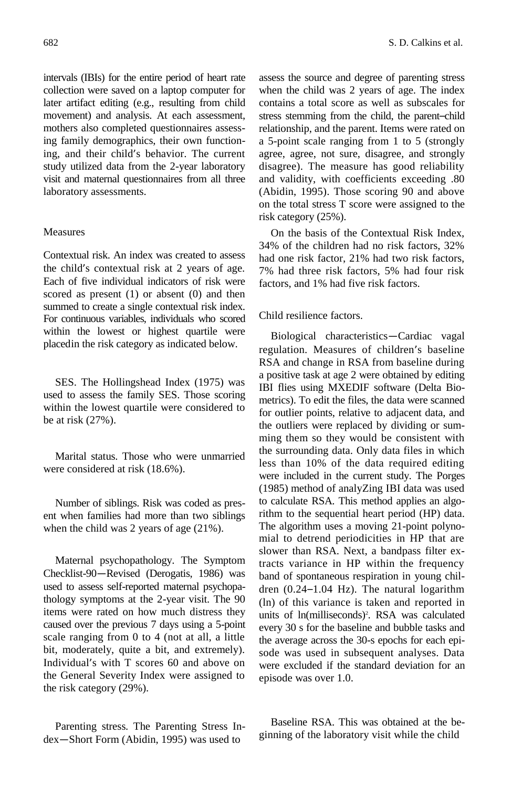intervals (IBIs) for the entire period of heart rate collection were saved on a laptop computer for later artifact editing (e.g., resulting from child movement) and analysis. At each assessment, mothers also completed questionnaires assessing family demographics, their own functioning, and their child's behavior. The current study utilized data from the 2-year laboratory visit and maternal questionnaires from all three laboratory assessments.

## Measures

Contextual risk. An index was created to assess the child's contextual risk at 2 years of age. Each of five individual indicators of risk were scored as present (1) or absent (0) and then summed to create a single contextual risk index. For continuous variables, individuals who scored within the lowest or highest quartile were placedin the risk category as indicated below.

SES. The Hollingshead Index (1975) was used to assess the family SES. Those scoring within the lowest quartile were considered to be at risk (27%).

Marital status. Those who were unmarried were considered at risk (18.6%).

Number of siblings. Risk was coded as present when families had more than two siblings when the child was 2 years of age (21%).

Maternal psychopathology. The Symptom Checklist-90—Revised (Derogatis, 1986) was used to assess self-reported maternal psychopathology symptoms at the 2-year visit. The 90 items were rated on how much distress they caused over the previous 7 days using a 5-point scale ranging from 0 to 4 (not at all, a little bit, moderately, quite a bit, and extremely). Individual's with T scores 60 and above on the General Severity Index were assigned to the risk category (29%).

Parenting stress. The Parenting Stress Index—Short Form (Abidin, 1995) was used to

assess the source and degree of parenting stress when the child was 2 years of age. The index contains a total score as well as subscales for stress stemming from the child, the parent–child relationship, and the parent. Items were rated on a 5-point scale ranging from 1 to 5 (strongly agree, agree, not sure, disagree, and strongly disagree). The measure has good reliability and validity, with coefficients exceeding .80 (Abidin, 1995). Those scoring 90 and above on the total stress T score were assigned to the risk category (25%).

On the basis of the Contextual Risk Index, 34% of the children had no risk factors, 32% had one risk factor, 21% had two risk factors, 7% had three risk factors, 5% had four risk factors, and 1% had five risk factors.

#### Child resilience factors.

Biological characteristics—Cardiac vagal regulation. Measures of children's baseline RSA and change in RSA from baseline during a positive task at age 2 were obtained by editing IBI flies using MXEDIF software (Delta Biometrics). To edit the files, the data were scanned for outlier points, relative to adjacent data, and the outliers were replaced by dividing or summing them so they would be consistent with the surrounding data. Only data files in which less than 10% of the data required editing were included in the current study. The Porges (1985) method of analyZing IBI data was used to calculate RSA. This method applies an algorithm to the sequential heart period (HP) data. The algorithm uses a moving 21-point polynomial to detrend periodicities in HP that are slower than RSA. Next, a bandpass filter extracts variance in HP within the frequency band of spontaneous respiration in young children (0.24–1.04 Hz). The natural logarithm (ln) of this variance is taken and reported in units of ln(milliseconds)<sup>2</sup>. RSA was calculated every 30 s for the baseline and bubble tasks and the average across the 30-s epochs for each episode was used in subsequent analyses. Data were excluded if the standard deviation for an episode was over 1.0.

Baseline RSA. This was obtained at the beginning of the laboratory visit while the child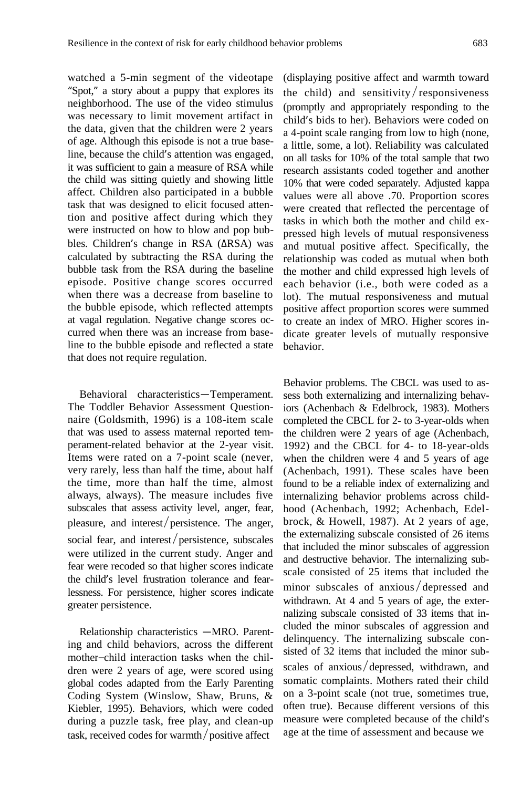watched a 5-min segment of the videotape "Spot," a story about a puppy that explores its neighborhood. The use of the video stimulus was necessary to limit movement artifact in the data, given that the children were 2 years of age. Although this episode is not a true baseline, because the child's attention was engaged, it was sufficient to gain a measure of RSA while the child was sitting quietly and showing little affect. Children also participated in a bubble task that was designed to elicit focused attention and positive affect during which they were instructed on how to blow and pop bubbles. Children's change in RSA (ΔRSA) was calculated by subtracting the RSA during the bubble task from the RSA during the baseline episode. Positive change scores occurred when there was a decrease from baseline to the bubble episode, which reflected attempts at vagal regulation. Negative change scores occurred when there was an increase from baseline to the bubble episode and reflected a state that does not require regulation.

Behavioral characteristics—Temperament. The Toddler Behavior Assessment Questionnaire (Goldsmith, 1996) is a 108-item scale that was used to assess maternal reported temperament-related behavior at the 2-year visit. Items were rated on a 7-point scale (never, very rarely, less than half the time, about half the time, more than half the time, almost always, always). The measure includes five subscales that assess activity level, anger, fear, pleasure, and interest/persistence. The anger, social fear, and interest/persistence, subscales were utilized in the current study. Anger and fear were recoded so that higher scores indicate the child's level frustration tolerance and fearlessness. For persistence, higher scores indicate greater persistence.

Relationship characteristics —MRO. Parenting and child behaviors, across the different mother–child interaction tasks when the children were 2 years of age, were scored using global codes adapted from the Early Parenting Coding System (Winslow, Shaw, Bruns, & Kiebler, 1995). Behaviors, which were coded during a puzzle task, free play, and clean-up task, received codes for warmth/positive affect

(displaying positive affect and warmth toward the child) and sensitivity/responsiveness (promptly and appropriately responding to the child's bids to her). Behaviors were coded on a 4-point scale ranging from low to high (none, a little, some, a lot). Reliability was calculated on all tasks for 10% of the total sample that two research assistants coded together and another 10% that were coded separately. Adjusted kappa values were all above .70. Proportion scores were created that reflected the percentage of tasks in which both the mother and child expressed high levels of mutual responsiveness and mutual positive affect. Specifically, the relationship was coded as mutual when both the mother and child expressed high levels of each behavior (i.e., both were coded as a lot). The mutual responsiveness and mutual positive affect proportion scores were summed to create an index of MRO. Higher scores indicate greater levels of mutually responsive behavior.

Behavior problems. The CBCL was used to assess both externalizing and internalizing behaviors (Achenbach & Edelbrock, 1983). Mothers completed the CBCL for 2- to 3-year-olds when the children were 2 years of age (Achenbach, 1992) and the CBCL for 4- to 18-year-olds when the children were 4 and 5 years of age (Achenbach, 1991). These scales have been found to be a reliable index of externalizing and internalizing behavior problems across childhood (Achenbach, 1992; Achenbach, Edelbrock, & Howell, 1987). At 2 years of age, the externalizing subscale consisted of 26 items that included the minor subscales of aggression and destructive behavior. The internalizing subscale consisted of 25 items that included the minor subscales of anxious/depressed and withdrawn. At 4 and 5 years of age, the externalizing subscale consisted of 33 items that included the minor subscales of aggression and delinquency. The internalizing subscale consisted of 32 items that included the minor subscales of anxious/depressed, withdrawn, and somatic complaints. Mothers rated their child on a 3-point scale (not true, sometimes true, often true). Because different versions of this measure were completed because of the child's age at the time of assessment and because we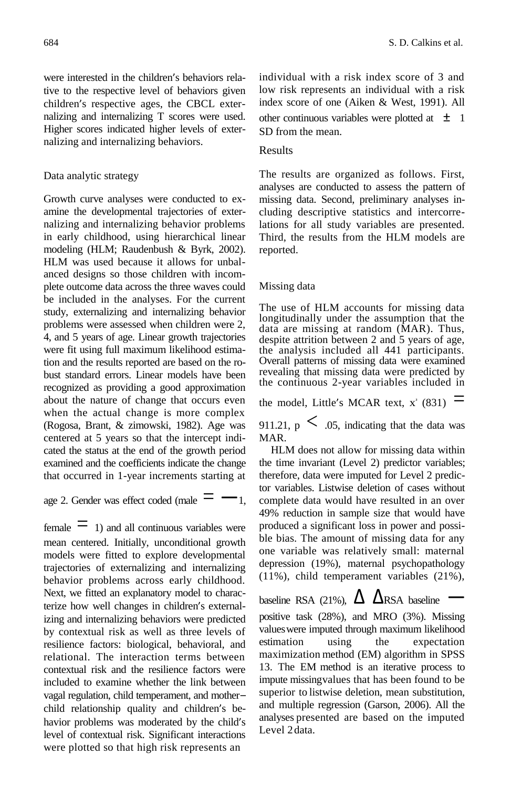were interested in the children's behaviors relative to the respective level of behaviors given children's respective ages, the CBCL externalizing and internalizing T scores were used. Higher scores indicated higher levels of externalizing and internalizing behaviors.

#### Data analytic strategy

Growth curve analyses were conducted to examine the developmental trajectories of externalizing and internalizing behavior problems in early childhood, using hierarchical linear modeling (HLM; Raudenbush & Byrk, 2002). HLM was used because it allows for unbalanced designs so those children with incomplete outcome data across the three waves could be included in the analyses. For the current study, externalizing and internalizing behavior problems were assessed when children were 2, 4, and 5 years of age. Linear growth trajectories were fit using full maximum likelihood estimation and the results reported are based on the robust standard errors. Linear models have been recognized as providing a good approximation about the nature of change that occurs even when the actual change is more complex (Rogosa, Brant, & zimowski, 1982). Age was centered at 5 years so that the intercept indicated the status at the end of the growth period examined and the coefficients indicate the change that occurred in 1-year increments starting at

## age 2. Gender was effect coded (male  $\equiv -1$ ,

female  $\equiv$  1) and all continuous variables were mean centered. Initially, unconditional growth models were fitted to explore developmental trajectories of externalizing and internalizing behavior problems across early childhood. Next, we fitted an explanatory model to characterize how well changes in children's externalizing and internalizing behaviors were predicted by contextual risk as well as three levels of resilience factors: biological, behavioral, and relational. The interaction terms between contextual risk and the resilience factors were included to examine whether the link between vagal regulation, child temperament, and mother– child relationship quality and children's behavior problems was moderated by the child's level of contextual risk. Significant interactions were plotted so that high risk represents an

individual with a risk index score of 3 and low risk represents an individual with a risk index score of one (Aiken & West, 1991). All other continuous variables were plotted at  $\pm$  1 SD from the mean.

## Results

The results are organized as follows. First, analyses are conducted to assess the pattern of missing data. Second, preliminary analyses including descriptive statistics and intercorrelations for all study variables are presented. Third, the results from the HLM models are reported.

#### Missing data

The use of HLM accounts for missing data longitudinally under the assumption that the data are missing at random (MAR). Thus, despite attrition between 2 and 5 years of age, the analysis included all 441 participants. Overall patterns of missing data were examined revealing that missing data were predicted by the continuous 2-year variables included in

the model, Little's MCAR text,  $x'$  (831)  $\equiv$ 

911.21,  $p \leq 0.05$ , indicating that the data was MAR.

HLM does not allow for missing data within the time invariant (Level 2) predictor variables; therefore, data were imputed for Level 2 predictor variables. Listwise deletion of cases without complete data would have resulted in an over 49% reduction in sample size that would have produced a significant loss in power and possible bias. The amount of missing data for any one variable was relatively small: maternal depression (19%), maternal psychopathology (11%), child temperament variables (21%),

baseline RSA (21%),  $\Delta$   $\Delta$ RSA baseline – positive task (28%), and MRO (3%). Missing valueswere imputed through maximum likelihood estimation using the expectation maximization method (EM) algorithm in SPSS 13. The EM method is an iterative process to impute missingvalues that has been found to be superior to listwise deletion, mean substitution, and multiple regression (Garson, 2006). All the analyses presented are based on the imputed Level 2data.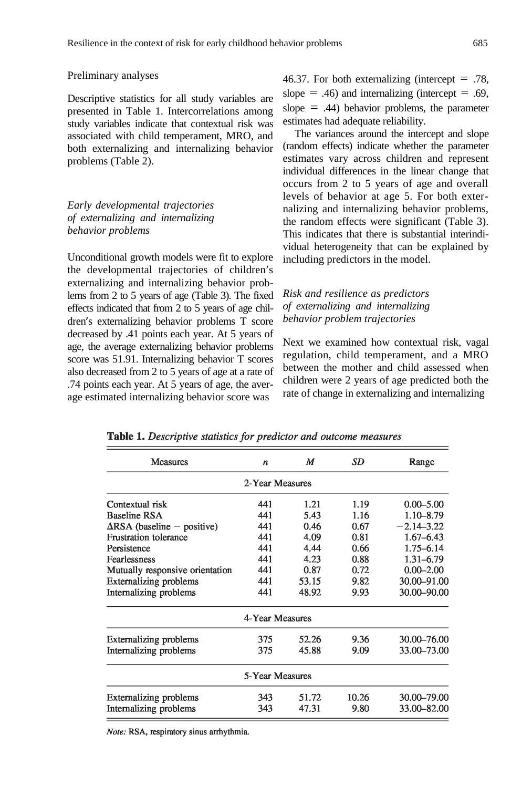#### Preliminary analyses

Descriptive statistics for all study variables are presented in Table 1. Intercorrelations among study variables indicate that contextual risk was associated with child temperament, MRO, and both externalizing and internalizing behavior problems (Table 2).

# *Early developmental trajectories of externalizing and internalizing behavior problems*

Unconditional growth models were fit to explore the developmental trajectories of children's externalizing and internalizing behavior problems from 2 to 5 years of age (Table 3). The fixed effects indicated that from 2 to 5 years of age children's externalizing behavior problems T score decreased by .41 points each year. At 5 years of age, the average externalizing behavior problems score was 51.91. Internalizing behavior T scores also decreased from 2 to 5 years of age at a rate of .74 points each year. At 5 years of age, the average estimated internalizing behavior score was

46.37. For both externalizing (intercept  $= .78$ , slope  $= .46$ ) and internalizing (intercept  $= .69$ , slope  $= .44$ ) behavior problems, the parameter estimates had adequate reliability.

The variances around the intercept and slope (random effects) indicate whether the parameter estimates vary across children and represent individual differences in the linear change that occurs from 2 to 5 years of age and overall levels of behavior at age 5. For both externalizing and internalizing behavior problems, the random effects were significant (Table 3). This indicates that there is substantial interindividual heterogeneity that can be explained by including predictors in the model.

## *Risk and resilience as predictors of externalizing and internalizing behavior problem trajectories*

Next we examined how contextual risk, vagal regulation, child temperament, and a MRO between the mother and child assessed when children were 2 years of age predicted both the rate of change in externalizing and internalizing

| Measures                           | n               | M     | SD    | Range          |
|------------------------------------|-----------------|-------|-------|----------------|
|                                    | 2-Year Measures |       |       |                |
| Contextual risk                    | 441             | 1.21  | 1.19  | $0.00 - 5.00$  |
| <b>Baseline RSA</b>                | 441             | 5.43  | 1.16  | $1.10 - 8.79$  |
| $\Delta$ RSA (baseline – positive) | 441             | 0.46  | 0.67  | $-2.14 - 3.22$ |
| <b>Frustration tolerance</b>       | 441             | 4.09  | 0.81  | $1.67 - 6.43$  |
| Persistence                        | 441             | 4.44  | 0.66  | $1.75 - 6.14$  |
| Fearlessness                       | 441             | 4.23  | 0.88  | $1.31 - 6.79$  |
| Mutually responsive orientation    | 441             | 0.87  | 0.72  | $0.00 - 2.00$  |
| <b>Externalizing problems</b>      | 441             | 53.15 | 9.82  | 30.00 - 91.00  |
| Internalizing problems             | 441             | 48.92 | 9.93  | 30.00 - 90.00  |
|                                    | 4-Year Measures |       |       |                |
| <b>Externalizing problems</b>      | 375             | 52.26 | 9.36  | 30.00 - 76.00  |
| Internalizing problems             | 375             | 45.88 | 9.09  | 33.00-73.00    |
|                                    | 5-Year Measures |       |       |                |
| <b>Externalizing problems</b>      | 343             | 51.72 | 10.26 | 30.00-79.00    |
| Internalizing problems             | 343             | 47.31 | 9.80  | 33.00-82.00    |

**Table 1.** Descriptive statistics for predictor and outcome measures

Note: RSA, respiratory sinus arrhythmia.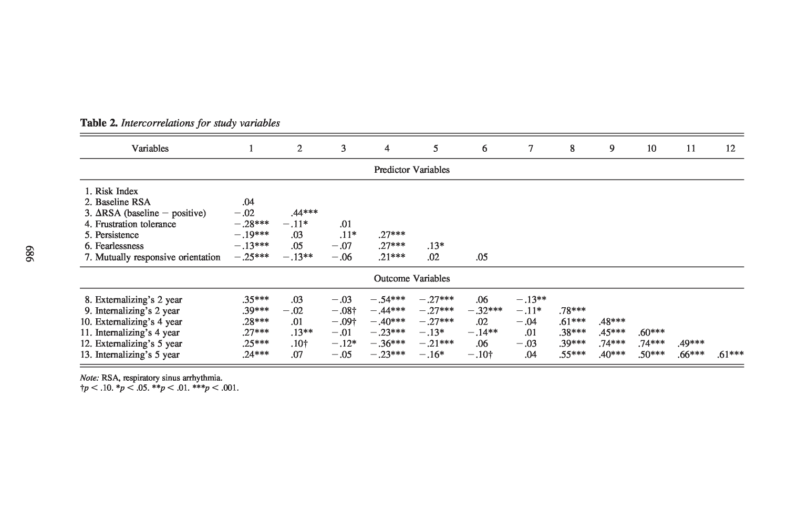| Variables                                                                                                                                                                        |                                                                    | $\mathbf{2}$                                               | 3                                                           | 4                                                                          | 5                                                                      | 6                                                     | 7                                                     | 8                                                  | 9                                          | 10                               | 11                 | 12       |
|----------------------------------------------------------------------------------------------------------------------------------------------------------------------------------|--------------------------------------------------------------------|------------------------------------------------------------|-------------------------------------------------------------|----------------------------------------------------------------------------|------------------------------------------------------------------------|-------------------------------------------------------|-------------------------------------------------------|----------------------------------------------------|--------------------------------------------|----------------------------------|--------------------|----------|
|                                                                                                                                                                                  |                                                                    |                                                            |                                                             |                                                                            | <b>Predictor Variables</b>                                             |                                                       |                                                       |                                                    |                                            |                                  |                    |          |
| 1. Risk Index<br>2. Baseline RSA<br>3. $\Delta$ RSA (baseline – positive)<br>4. Frustration tolerance<br>5. Persistence<br>6. Fearlessness<br>7. Mutually responsive orientation | .04<br>$-.02$<br>$-.28***$<br>$-.19***$<br>$-.13***$<br>$-.25***$  | $.44***$<br>$-.11*$<br>.03<br>.05<br>$-.13**$              | .01<br>$.11*$<br>$-.07$<br>$-.06$                           | $.27***$<br>$.27***$<br>$.21***$                                           | $.13*$<br>.02                                                          | .05                                                   |                                                       |                                                    |                                            |                                  |                    |          |
|                                                                                                                                                                                  |                                                                    |                                                            |                                                             |                                                                            | <b>Outcome Variables</b>                                               |                                                       |                                                       |                                                    |                                            |                                  |                    |          |
| 8. Externalizing's 2 year<br>9. Internalizing's 2 year<br>10. Externalizing's 4 year<br>11. Internalizing's 4 year<br>12. Externalizing's 5 year<br>13. Internalizing's 5 year   | $.35***$<br>$.39***$<br>.28***<br>$.27***$<br>$.25***$<br>$.24***$ | .03<br>$-.02$<br>.01<br>$.13**$<br>.10 <sup>†</sup><br>.07 | $-.03$<br>$-.08†$<br>$-.09†$<br>$-.01$<br>$-.12*$<br>$-.05$ | $-.54***$<br>$-.44***$<br>$-.40***$<br>$-.23***$<br>$-.36***$<br>$-.23***$ | $-.27***$<br>$-.27***$<br>$-.27***$<br>$-.13*$<br>$-.21***$<br>$-.16*$ | .06<br>$-.32***$<br>.02<br>$-.14**$<br>.06<br>$-.10†$ | $-.13**$<br>$-.11*$<br>$-.04$<br>.01<br>$-.03$<br>.04 | .78***<br>$.61***$<br>.38***<br>.39***<br>$.55***$ | .48***<br>$.45***$<br>$.74***$<br>$.40***$ | $.60***$<br>$.74***$<br>$.50***$ | .49***<br>$.66***$ | $.61***$ |

Table 2. Intercorrelations for study variables

*Note:* RSA, respiratory sinus arrhythmia.<br> $\uparrow p < .10$ . \* $p < .05$ . \*\* $p < .01$ . \*\*\* $p < .001$ .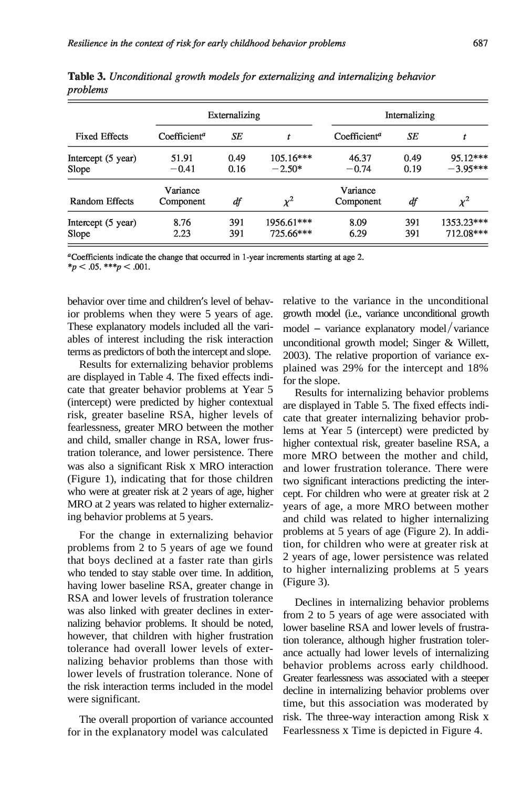|                             |                          | Externalizing |                         | Internalizing            |              |                         |  |
|-----------------------------|--------------------------|---------------|-------------------------|--------------------------|--------------|-------------------------|--|
| <b>Fixed Effects</b>        | Coefficient <sup>a</sup> | SE            | t                       | Coefficient <sup>a</sup> | SE           | t                       |  |
| Intercept (5 year)<br>Slope | 51.91<br>$-0.41$         | 0.49<br>0.16  | $105.16***$<br>$-2.50*$ | 46.37<br>$-0.74$         | 0.49<br>0.19 | 95.12***<br>$-3.95***$  |  |
| <b>Random Effects</b>       | Variance<br>Component    | df            | $\chi^2$                | Variance<br>Component    | df           | $\chi^2$                |  |
| Intercept (5 year)<br>Slope | 8.76<br>2.23             | 391<br>391    | 1956.61***<br>725.66*** | 8.09<br>6.29             | 391<br>391   | 1353.23***<br>712.08*** |  |

**Table 3.** Unconditional growth models for externalizing and internalizing behavior problems

<sup>a</sup>Coefficients indicate the change that occurred in 1-year increments starting at age 2.  $*_p$  < .05. \*\*\*p < .001.

behavior over time and children's level of behavior problems when they were 5 years of age. These explanatory models included all the variables of interest including the risk interaction terms as predictors of both the intercept and slope.

Results for externalizing behavior problems are displayed in Table 4. The fixed effects indicate that greater behavior problems at Year 5 (intercept) were predicted by higher contextual risk, greater baseline RSA, higher levels of fearlessness, greater MRO between the mother and child, smaller change in RSA, lower frustration tolerance, and lower persistence. There was also a significant Risk x MRO interaction (Figure 1), indicating that for those children who were at greater risk at 2 years of age, higher MRO at 2 years was related to higher externalizing behavior problems at 5 years.

For the change in externalizing behavior problems from 2 to 5 years of age we found that boys declined at a faster rate than girls who tended to stay stable over time. In addition, having lower baseline RSA, greater change in RSA and lower levels of frustration tolerance was also linked with greater declines in externalizing behavior problems. It should be noted, however, that children with higher frustration tolerance had overall lower levels of externalizing behavior problems than those with lower levels of frustration tolerance. None of the risk interaction terms included in the model were significant.

The overall proportion of variance accounted for in the explanatory model was calculated

relative to the variance in the unconditional growth model (i.e., variance unconditional growth model – variance explanatory model/variance unconditional growth model; Singer & Willett, 2003). The relative proportion of variance explained was 29% for the intercept and 18% for the slope.

Results for internalizing behavior problems are displayed in Table 5. The fixed effects indicate that greater internalizing behavior problems at Year 5 (intercept) were predicted by higher contextual risk, greater baseline RSA, a more MRO between the mother and child, and lower frustration tolerance. There were two significant interactions predicting the intercept. For children who were at greater risk at 2 years of age, a more MRO between mother and child was related to higher internalizing problems at 5 years of age (Figure 2). In addition, for children who were at greater risk at 2 years of age, lower persistence was related to higher internalizing problems at 5 years (Figure 3).

Declines in internalizing behavior problems from 2 to 5 years of age were associated with lower baseline RSA and lower levels of frustration tolerance, although higher frustration tolerance actually had lower levels of internalizing behavior problems across early childhood. Greater fearlessness was associated with a steeper decline in internalizing behavior problems over time, but this association was moderated by risk. The three-way interaction among Risk x Fearlessness x Time is depicted in Figure 4.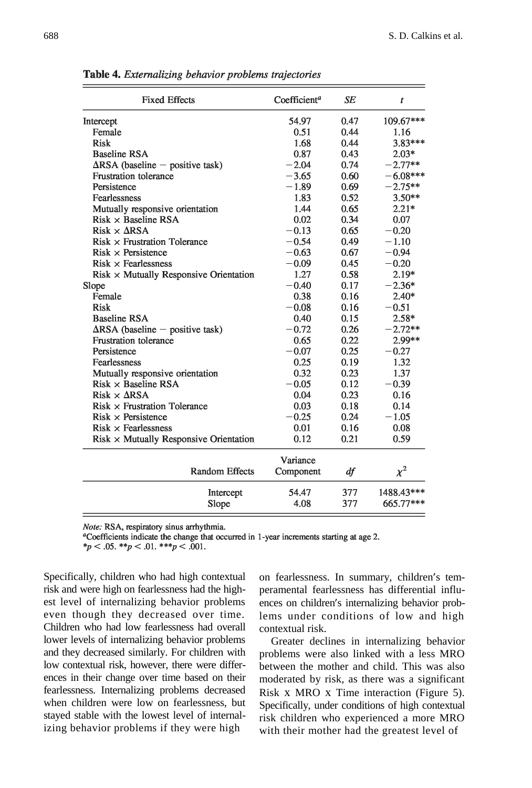| <b>Fixed Effects</b>                          | Coefficient <sup>a</sup> | <b>SE</b> | t          |
|-----------------------------------------------|--------------------------|-----------|------------|
| Intercept                                     | 54.97                    | 0.47      | 109.67***  |
| Female                                        | 0.51                     | 0.44      | 1.16       |
| <b>Risk</b>                                   | 1.68                     | 0.44      | 3.83***    |
| <b>Baseline RSA</b>                           | 0.87                     | 0.43      | $2.03*$    |
| $\Delta$ RSA (baseline – positive task)       | $-2.04$                  | 0.74      | $-2.77**$  |
| <b>Frustration</b> tolerance                  | $-3.65$                  | 0.60      | $-6.08***$ |
| Persistence                                   | $-1.89$                  | 0.69      | $-2.75**$  |
| Fearlessness                                  | 1.83                     | 0.52      | $3.50**$   |
| Mutually responsive orientation               | 1.44                     | 0.65      | $2.21*$    |
| $Risk \times Baseline$ RSA                    | 0.02                     | 0.34      | 0.07       |
| $Risk \times \Delta$ RSA                      | $-0.13$                  | 0.65      | $-0.20$    |
| $Risk \times Frustration$ Tolerance           | $-0.54$                  | 0.49      | $-1.10$    |
| $Risk \times Perspective$                     | $-0.63$                  | 0.67      | $-0.94$    |
| $Risk \times Fearlessness$                    | $-0.09$                  | 0.45      | $-0.20$    |
| $Risk \times Mutually$ Responsive Orientation | 1.27                     | 0.58      | $2.19*$    |
| Slope                                         | $-0.40$                  | 0.17      | $-2.36*$   |
| Female                                        | 0.38                     | 0.16      | $2.40*$    |
| <b>Risk</b>                                   | $-0.08$                  | 0.16      | $-0.51$    |
| <b>Baseline RSA</b>                           | 0.40                     | 0.15      | $2.58*$    |
| $\Delta$ RSA (baseline – positive task)       | $-0.72$                  | 0.26      | $-2.72**$  |
| <b>Frustration</b> tolerance                  | 0.65                     | 0.22      | 2.99**     |
| Persistence                                   | $-0.07$                  | 0.25      | $-0.27$    |
| <b>Fearlessness</b>                           | 0.25                     | 0.19      | 1.32       |
| Mutually responsive orientation               | 0.32                     | 0.23      | 1.37       |
| $Risk \times Baseline$ RSA                    | $-0.05$                  | 0.12      | $-0.39$    |
| $Risk \times \Delta$ RSA                      | 0.04                     | 0.23      | 0.16       |
| $Risk \times Frustration$ Tolerance           | 0.03                     | 0.18      | 0.14       |
| $Risk \times Persistence$                     | $-0.25$                  | 0.24      | $-1.05$    |
| $Risk \times Fearlessness$                    | 0.01                     | 0.16      | 0.08       |
| $Risk \times Mutually$ Responsive Orientation | 0.12                     | 0.21      | 0.59       |
|                                               | Variance                 |           |            |
| <b>Random Effects</b>                         | Component                | df        | $\chi^2$   |
| Intercept                                     | 54.47                    | 377       | 1488.43*** |
| Slope                                         | 4.08                     | 377       | 665.77***  |

Table 4. Externalizing behavior problems trajectories

Note: RSA, respiratory sinus arrhythmia.

<sup>a</sup>Coefficients indicate the change that occurred in 1-year increments starting at age 2.

\*p < .05. \*\*p < .01. \*\*\*p < .001.

Specifically, children who had high contextual risk and were high on fearlessness had the highest level of internalizing behavior problems even though they decreased over time. Children who had low fearlessness had overall lower levels of internalizing behavior problems and they decreased similarly. For children with low contextual risk, however, there were differences in their change over time based on their fearlessness. Internalizing problems decreased when children were low on fearlessness, but stayed stable with the lowest level of internalizing behavior problems if they were high

on fearlessness. In summary, children's temperamental fearlessness has differential influences on children's internalizing behavior problems under conditions of low and high contextual risk.

Greater declines in internalizing behavior problems were also linked with a less MRO between the mother and child. This was also moderated by risk, as there was a significant Risk x MRO x Time interaction (Figure 5). Specifically, under conditions of high contextual risk children who experienced a more MRO with their mother had the greatest level of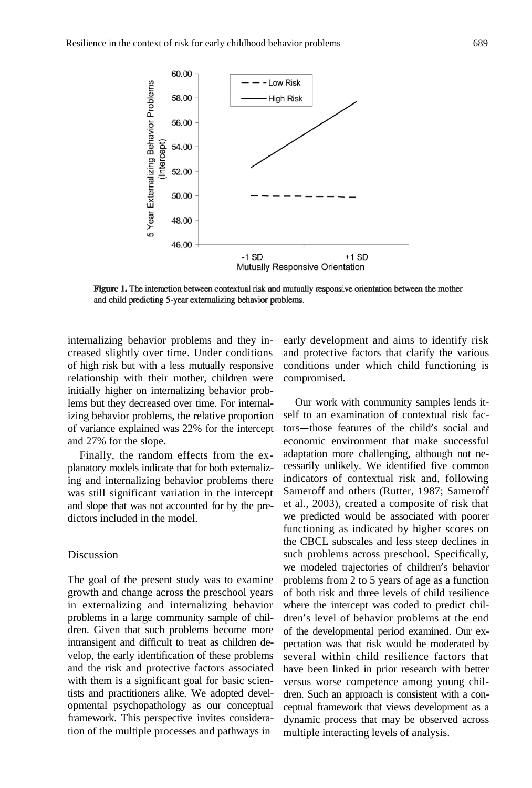

Figure 1. The interaction between contextual risk and mutually responsive orientation between the mother and child predicting 5-year externalizing behavior problems.

internalizing behavior problems and they increased slightly over time. Under conditions of high risk but with a less mutually responsive relationship with their mother, children were initially higher on internalizing behavior problems but they decreased over time. For internalizing behavior problems, the relative proportion of variance explained was 22% for the intercept and 27% for the slope.

Finally, the random effects from the explanatory models indicate that for both externalizing and internalizing behavior problems there was still significant variation in the intercept and slope that was not accounted for by the predictors included in the model.

### Discussion

The goal of the present study was to examine growth and change across the preschool years in externalizing and internalizing behavior problems in a large community sample of children. Given that such problems become more intransigent and difficult to treat as children develop, the early identification of these problems and the risk and protective factors associated with them is a significant goal for basic scientists and practitioners alike. We adopted developmental psychopathology as our conceptual framework. This perspective invites consideration of the multiple processes and pathways in

early development and aims to identify risk and protective factors that clarify the various conditions under which child functioning is compromised.

Our work with community samples lends itself to an examination of contextual risk factors—those features of the child's social and economic environment that make successful adaptation more challenging, although not necessarily unlikely. We identified five common indicators of contextual risk and, following Sameroff and others (Rutter, 1987; Sameroff et al., 2003), created a composite of risk that we predicted would be associated with poorer functioning as indicated by higher scores on the CBCL subscales and less steep declines in such problems across preschool. Specifically, we modeled trajectories of children's behavior problems from 2 to 5 years of age as a function of both risk and three levels of child resilience where the intercept was coded to predict children's level of behavior problems at the end of the developmental period examined. Our expectation was that risk would be moderated by several within child resilience factors that have been linked in prior research with better versus worse competence among young children. Such an approach is consistent with a conceptual framework that views development as a dynamic process that may be observed across multiple interacting levels of analysis.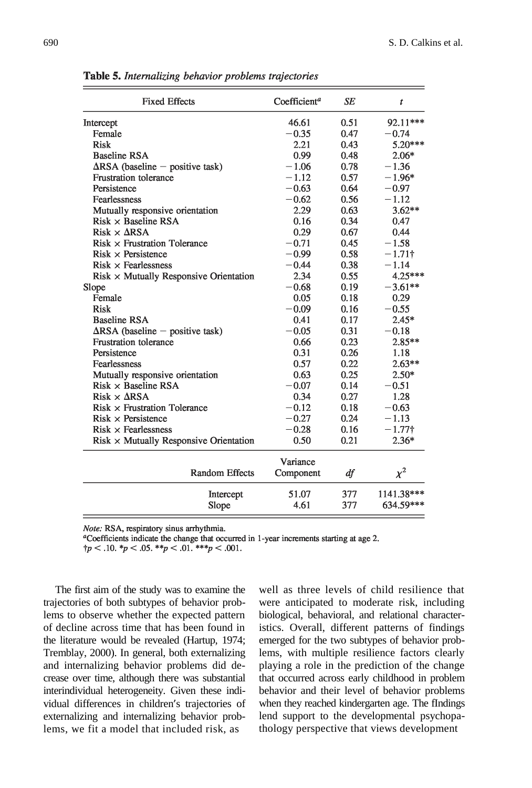| <b>Fixed Effects</b>                          | Coefficient <sup>a</sup> | <b>SE</b> | t              |
|-----------------------------------------------|--------------------------|-----------|----------------|
| Intercept                                     | 46.61                    | 0.51      | 92.11***       |
| Female                                        | $-0.35$                  | 0.47      | $-0.74$        |
| <b>Risk</b>                                   | 2.21                     | 0.43      | $5.20***$      |
| <b>Baseline RSA</b>                           | 0.99                     | 0.48      | $2.06*$        |
| $\Delta$ RSA (baseline – positive task)       | $-1.06$                  | 0.78      | $-1.36$        |
| <b>Frustration</b> tolerance                  | $-1.12$                  | 0.57      | $-1.96*$       |
| Persistence                                   | $-0.63$                  | 0.64      | $-0.97$        |
| Fearlessness                                  | $-0.62$                  | 0.56      | $-1.12$        |
| Mutually responsive orientation               | 2.29                     | 0.63      | $3.62**$       |
| $Risk \times Baseline$ RSA                    | 0.16                     | 0.34      | 0.47           |
| $Risk \times \Delta$ RSA                      | 0.29                     | 0.67      | 0.44           |
| $Risk \times Frustration$ Tolerance           | $-0.71$                  | 0.45      | $-1.58$        |
| $Risk \times_{\text{Persistence}}$            | $-0.99$                  | 0.58      | $-1.71\dagger$ |
| $Risk \times Fearlessness$                    | $-0.44$                  | 0.38      | $-1.14$        |
| $Risk \times Mutually$ Responsive Orientation | 2.34                     | 0.55      | 4.25***        |
| Slope                                         | $-0.68$                  | 0.19      | $-3.61**$      |
| Female                                        | 0.05                     | 0.18      | 0.29           |
| <b>Risk</b>                                   | $-0.09$                  | 0.16      | $-0.55$        |
| <b>Baseline RSA</b>                           | 0.41                     | 0.17      | $2.45*$        |
| $\Delta$ RSA (baseline – positive task)       | $-0.05$                  | 0.31      | $-0.18$        |
| <b>Frustration</b> tolerance                  | 0.66                     | 0.23      | $2.85**$       |
| Persistence                                   | 0.31                     | 0.26      | 1.18           |
| <b>Fearlessness</b>                           | 0.57                     | 0.22      | $2.63**$       |
| Mutually responsive orientation               | 0.63                     | 0.25      | $2.50*$        |
| $Risk \times Baseline$ RSA                    | $-0.07$                  | 0.14      | $-0.51$        |
| $Risk \times \Delta$ RSA                      | 0.34                     | 0.27      | 1.28           |
| $Risk \times Frustration$ Tolerance           | $-0.12$                  | 0.18      | $-0.63$        |
| $Risk \times Persistence$                     | $-0.27$                  | 0.24      | $-1.13$        |
| $Risk \times Fearlessness$                    | $-0.28$                  | 0.16      | $-1.77$ †      |
| $Risk \times Mutually$ Responsive Orientation | 0.50                     | 0.21      | $2.36*$        |
|                                               | Variance                 |           |                |
| <b>Random Effects</b>                         | Component                | df        | $\chi^2$       |
| Intercept                                     | 51.07                    | 377       | 1141.38***     |
| Slope                                         | 4.61                     | 377       | 634.59***      |

**Table 5.** Internalizing behavior problems trajectories

Note: RSA, respiratory sinus arrhythmia.

<sup>a</sup>Coefficients indicate the change that occurred in 1-year increments starting at age 2.

 ${\dagger} p < .10. {\dagger} p < .05. {\dagger} {\dagger} p < .01. {\dagger} {\dagger} {\dagger} p < .001.$ 

The first aim of the study was to examine the trajectories of both subtypes of behavior problems to observe whether the expected pattern of decline across time that has been found in the literature would be revealed (Hartup, 1974; Tremblay, 2000). In general, both externalizing and internalizing behavior problems did decrease over time, although there was substantial interindividual heterogeneity. Given these individual differences in children's trajectories of externalizing and internalizing behavior problems, we fit a model that included risk, as

well as three levels of child resilience that were anticipated to moderate risk, including biological, behavioral, and relational characteristics. Overall, different patterns of findings emerged for the two subtypes of behavior problems, with multiple resilience factors clearly playing a role in the prediction of the change that occurred across early childhood in problem behavior and their level of behavior problems when they reached kindergarten age. The fIndings lend support to the developmental psychopathology perspective that views development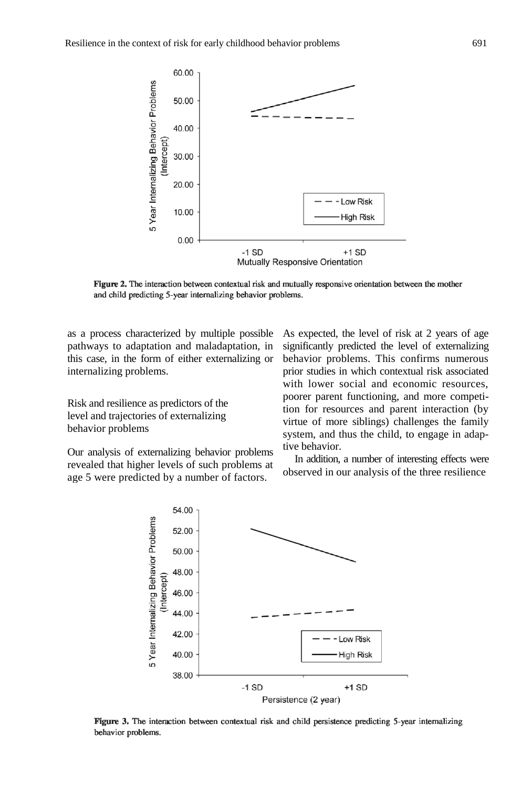

Figure 2. The interaction between contextual risk and mutually responsive orientation between the mother and child predicting 5-year internalizing behavior problems.

as a process characterized by multiple possible pathways to adaptation and maladaptation, in this case, in the form of either externalizing or internalizing problems.

Risk and resilience as predictors of the level and trajectories of externalizing behavior problems

Our analysis of externalizing behavior problems revealed that higher levels of such problems at age 5 were predicted by a number of factors.

As expected, the level of risk at 2 years of age significantly predicted the level of externalizing behavior problems. This confirms numerous prior studies in which contextual risk associated with lower social and economic resources, poorer parent functioning, and more competition for resources and parent interaction (by virtue of more siblings) challenges the family system, and thus the child, to engage in adaptive behavior.

In addition, a number of interesting effects were observed in our analysis of the three resilience



Figure 3. The interaction between contextual risk and child persistence predicting 5-year internalizing behavior problems.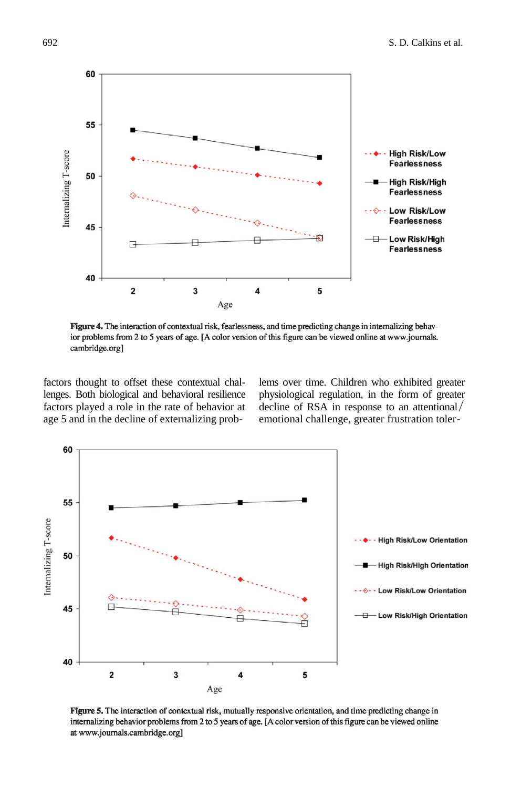

Figure 4. The interaction of contextual risk, fearlessness, and time predicting change in internalizing behavior problems from 2 to 5 years of age. [A color version of this figure can be viewed online at www.journals. cambridge.org]

factors thought to offset these contextual challenges. Both biological and behavioral resilience factors played a role in the rate of behavior at age 5 and in the decline of externalizing problems over time. Children who exhibited greater physiological regulation, in the form of greater decline of RSA in response to an attentional/ emotional challenge, greater frustration toler-



Figure 5. The interaction of contextual risk, mutually responsive orientation, and time predicting change in internalizing behavior problems from 2 to 5 years of age. [A color version of this figure can be viewed online at www.journals.cambridge.org]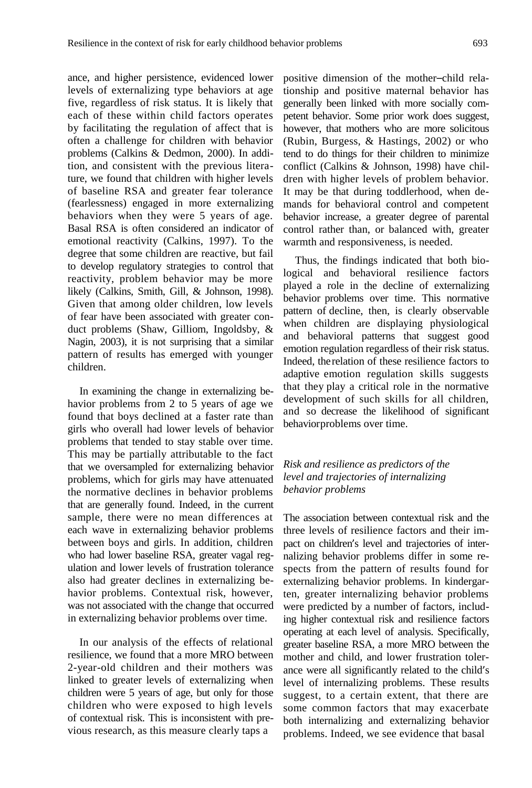ance, and higher persistence, evidenced lower levels of externalizing type behaviors at age five, regardless of risk status. It is likely that each of these within child factors operates by facilitating the regulation of affect that is often a challenge for children with behavior problems (Calkins & Dedmon, 2000). In addition, and consistent with the previous literature, we found that children with higher levels of baseline RSA and greater fear tolerance (fearlessness) engaged in more externalizing behaviors when they were 5 years of age. Basal RSA is often considered an indicator of emotional reactivity (Calkins, 1997). To the degree that some children are reactive, but fail to develop regulatory strategies to control that reactivity, problem behavior may be more likely (Calkins, Smith, Gill, & Johnson, 1998). Given that among older children, low levels of fear have been associated with greater conduct problems (Shaw, Gilliom, Ingoldsby, & Nagin, 2003), it is not surprising that a similar pattern of results has emerged with younger children.

In examining the change in externalizing behavior problems from 2 to 5 years of age we found that boys declined at a faster rate than girls who overall had lower levels of behavior problems that tended to stay stable over time. This may be partially attributable to the fact that we oversampled for externalizing behavior problems, which for girls may have attenuated the normative declines in behavior problems that are generally found. Indeed, in the current sample, there were no mean differences at each wave in externalizing behavior problems between boys and girls. In addition, children who had lower baseline RSA, greater vagal regulation and lower levels of frustration tolerance also had greater declines in externalizing behavior problems. Contextual risk, however, was not associated with the change that occurred in externalizing behavior problems over time.

In our analysis of the effects of relational resilience, we found that a more MRO between 2-year-old children and their mothers was linked to greater levels of externalizing when children were 5 years of age, but only for those children who were exposed to high levels of contextual risk. This is inconsistent with previous research, as this measure clearly taps a

positive dimension of the mother–child relationship and positive maternal behavior has generally been linked with more socially competent behavior. Some prior work does suggest, however, that mothers who are more solicitous (Rubin, Burgess, & Hastings, 2002) or who tend to do things for their children to minimize conflict (Calkins & Johnson, 1998) have children with higher levels of problem behavior. It may be that during toddlerhood, when demands for behavioral control and competent behavior increase, a greater degree of parental control rather than, or balanced with, greater warmth and responsiveness, is needed.

Thus, the findings indicated that both biological and behavioral resilience factors played a role in the decline of externalizing behavior problems over time. This normative pattern of decline, then, is clearly observable when children are displaying physiological and behavioral patterns that suggest good emotion regulation regardless of their risk status. Indeed, therelation of these resilience factors to adaptive emotion regulation skills suggests that they play a critical role in the normative development of such skills for all children, and so decrease the likelihood of significant behaviorproblems over time.

*Risk and resilience as predictors of the level and trajectories of internalizing behavior problems*

The association between contextual risk and the three levels of resilience factors and their impact on children's level and trajectories of internalizing behavior problems differ in some respects from the pattern of results found for externalizing behavior problems. In kindergarten, greater internalizing behavior problems were predicted by a number of factors, including higher contextual risk and resilience factors operating at each level of analysis. Specifically, greater baseline RSA, a more MRO between the mother and child, and lower frustration tolerance were all significantly related to the child's level of internalizing problems. These results suggest, to a certain extent, that there are some common factors that may exacerbate both internalizing and externalizing behavior problems. Indeed, we see evidence that basal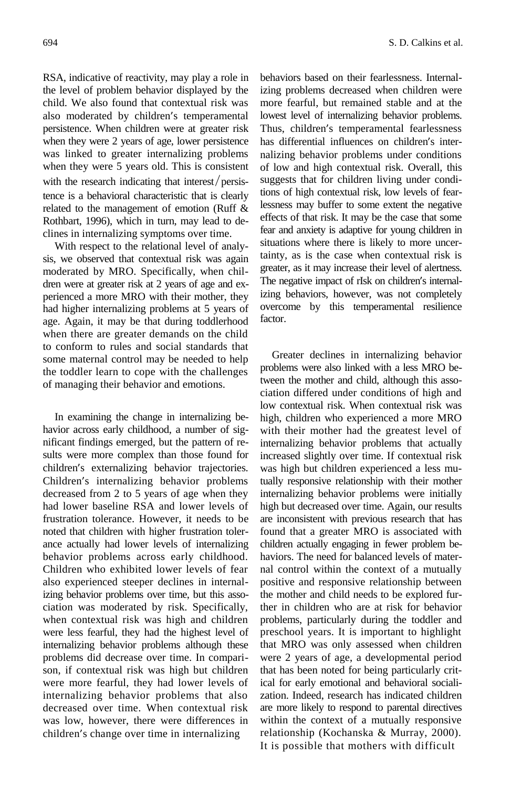RSA, indicative of reactivity, may play a role in the level of problem behavior displayed by the child. We also found that contextual risk was also moderated by children's temperamental persistence. When children were at greater risk when they were 2 years of age, lower persistence was linked to greater internalizing problems when they were 5 years old. This is consistent with the research indicating that interest/persistence is a behavioral characteristic that is clearly related to the management of emotion (Ruff & Rothbart, 1996), which in turn, may lead to declines in internalizing symptoms over time.

With respect to the relational level of analysis, we observed that contextual risk was again moderated by MRO. Specifically, when children were at greater risk at 2 years of age and experienced a more MRO with their mother, they had higher internalizing problems at 5 years of age. Again, it may be that during toddlerhood when there are greater demands on the child to conform to rules and social standards that some maternal control may be needed to help the toddler learn to cope with the challenges of managing their behavior and emotions.

In examining the change in internalizing behavior across early childhood, a number of significant findings emerged, but the pattern of results were more complex than those found for children's externalizing behavior trajectories. Children's internalizing behavior problems decreased from 2 to 5 years of age when they had lower baseline RSA and lower levels of frustration tolerance. However, it needs to be noted that children with higher frustration tolerance actually had lower levels of internalizing behavior problems across early childhood. Children who exhibited lower levels of fear also experienced steeper declines in internalizing behavior problems over time, but this association was moderated by risk. Specifically, when contextual risk was high and children were less fearful, they had the highest level of internalizing behavior problems although these problems did decrease over time. In comparison, if contextual risk was high but children were more fearful, they had lower levels of internalizing behavior problems that also decreased over time. When contextual risk was low, however, there were differences in children's change over time in internalizing

behaviors based on their fearlessness. Internalizing problems decreased when children were more fearful, but remained stable and at the lowest level of internalizing behavior problems. Thus, children's temperamental fearlessness has differential influences on children's internalizing behavior problems under conditions of low and high contextual risk. Overall, this suggests that for children living under conditions of high contextual risk, low levels of fearlessness may buffer to some extent the negative effects of that risk. It may be the case that some fear and anxiety is adaptive for young children in situations where there is likely to more uncertainty, as is the case when contextual risk is greater, as it may increase their level of alertness. The negative impact of rIsk on children's internalizing behaviors, however, was not completely overcome by this temperamental resilience factor.

Greater declines in internalizing behavior problems were also linked with a less MRO between the mother and child, although this association differed under conditions of high and low contextual risk. When contextual risk was high, children who experienced a more MRO with their mother had the greatest level of internalizing behavior problems that actually increased slightly over time. If contextual risk was high but children experienced a less mutually responsive relationship with their mother internalizing behavior problems were initially high but decreased over time. Again, our results are inconsistent with previous research that has found that a greater MRO is associated with children actually engaging in fewer problem behaviors. The need for balanced levels of maternal control within the context of a mutually positive and responsive relationship between the mother and child needs to be explored further in children who are at risk for behavior problems, particularly during the toddler and preschool years. It is important to highlight that MRO was only assessed when children were 2 years of age, a developmental period that has been noted for being particularly critical for early emotional and behavioral socialization. Indeed, research has indicated children are more likely to respond to parental directives within the context of a mutually responsive relationship (Kochanska & Murray, 2000). It is possible that mothers with difficult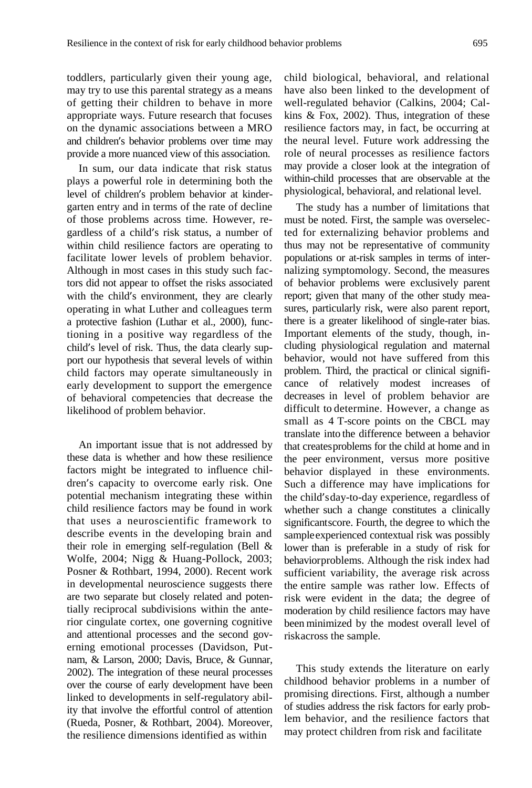toddlers, particularly given their young age, may try to use this parental strategy as a means of getting their children to behave in more appropriate ways. Future research that focuses on the dynamic associations between a MRO and children's behavior problems over time may provide a more nuanced view of this association.

In sum, our data indicate that risk status plays a powerful role in determining both the level of children's problem behavior at kindergarten entry and in terms of the rate of decline of those problems across time. However, regardless of a child's risk status, a number of within child resilience factors are operating to facilitate lower levels of problem behavior. Although in most cases in this study such factors did not appear to offset the risks associated with the child's environment, they are clearly operating in what Luther and colleagues term a protective fashion (Luthar et al., 2000), functioning in a positive way regardless of the child's level of risk. Thus, the data clearly support our hypothesis that several levels of within child factors may operate simultaneously in early development to support the emergence of behavioral competencies that decrease the likelihood of problem behavior.

An important issue that is not addressed by these data is whether and how these resilience factors might be integrated to influence children's capacity to overcome early risk. One potential mechanism integrating these within child resilience factors may be found in work that uses a neuroscientific framework to describe events in the developing brain and their role in emerging self-regulation (Bell & Wolfe, 2004; Nigg & Huang-Pollock, 2003; Posner & Rothbart, 1994, 2000). Recent work in developmental neuroscience suggests there are two separate but closely related and potentially reciprocal subdivisions within the anterior cingulate cortex, one governing cognitive and attentional processes and the second governing emotional processes (Davidson, Putnam, & Larson, 2000; Davis, Bruce, & Gunnar, 2002). The integration of these neural processes over the course of early development have been linked to developments in self-regulatory ability that involve the effortful control of attention (Rueda, Posner, & Rothbart, 2004). Moreover, the resilience dimensions identified as within

child biological, behavioral, and relational have also been linked to the development of well-regulated behavior (Calkins, 2004; Calkins & Fox, 2002). Thus, integration of these resilience factors may, in fact, be occurring at the neural level. Future work addressing the role of neural processes as resilience factors may provide a closer look at the integration of within-child processes that are observable at the physiological, behavioral, and relational level.

The study has a number of limitations that must be noted. First, the sample was overselected for externalizing behavior problems and thus may not be representative of community populations or at-risk samples in terms of internalizing symptomology. Second, the measures of behavior problems were exclusively parent report; given that many of the other study measures, particularly risk, were also parent report, there is a greater likelihood of single-rater bias. Important elements of the study, though, including physiological regulation and maternal behavior, would not have suffered from this problem. Third, the practical or clinical significance of relatively modest increases of decreases in level of problem behavior are difficult to determine. However, a change as small as 4 T-score points on the CBCL may translate into the difference between a behavior that createsproblems for the child at home and in the peer environment, versus more positive behavior displayed in these environments. Such a difference may have implications for the child'sday-to-day experience, regardless of whether such a change constitutes a clinically significantscore. Fourth, the degree to which the sampleexperienced contextual risk was possibly lower than is preferable in a study of risk for behaviorproblems. Although the risk index had sufficient variability, the average risk across the entire sample was rather low. Effects of risk were evident in the data; the degree of moderation by child resilience factors may have been minimized by the modest overall level of riskacross the sample.

This study extends the literature on early childhood behavior problems in a number of promising directions. First, although a number of studies address the risk factors for early problem behavior, and the resilience factors that may protect children from risk and facilitate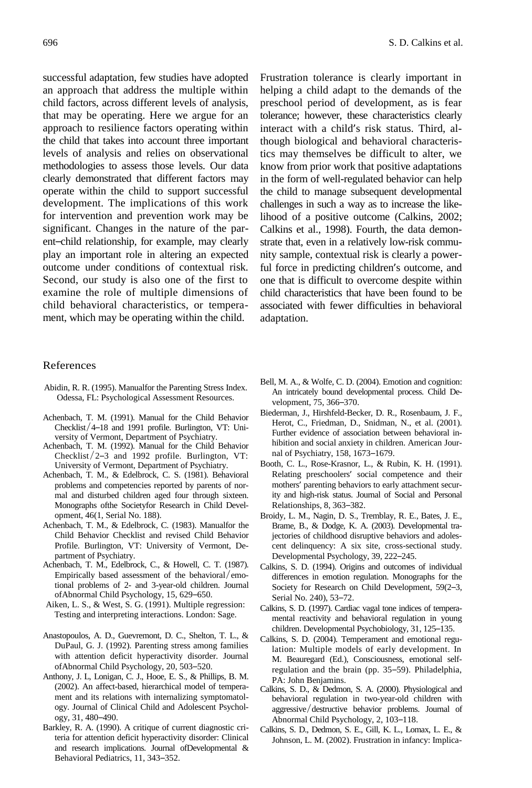successful adaptation, few studies have adopted an approach that address the multiple within child factors, across different levels of analysis, that may be operating. Here we argue for an approach to resilience factors operating within the child that takes into account three important levels of analysis and relies on observational methodologies to assess those levels. Our data clearly demonstrated that different factors may operate within the child to support successful development. The implications of this work for intervention and prevention work may be significant. Changes in the nature of the parent–child relationship, for example, may clearly play an important role in altering an expected outcome under conditions of contextual risk. Second, our study is also one of the first to examine the role of multiple dimensions of child behavioral characteristics, or temperament, which may be operating within the child.

Frustration tolerance is clearly important in helping a child adapt to the demands of the preschool period of development, as is fear tolerance; however, these characteristics clearly interact with a child's risk status. Third, although biological and behavioral characteristics may themselves be difficult to alter, we know from prior work that positive adaptations in the form of well-regulated behavior can help the child to manage subsequent developmental challenges in such a way as to increase the likelihood of a positive outcome (Calkins, 2002; Calkins et al., 1998). Fourth, the data demonstrate that, even in a relatively low-risk community sample, contextual risk is clearly a powerful force in predicting children's outcome, and one that is difficult to overcome despite within child characteristics that have been found to be associated with fewer difficulties in behavioral adaptation.

## References

- Abidin, R. R. (1995). Manualfor the Parenting Stress Index. Odessa, FL: Psychological Assessment Resources.
- Achenbach, T. M. (1991). Manual for the Child Behavior Checklist/4–18 and 1991 profile. Burlington, VT: University of Vermont, Department of Psychiatry.
- Achenbach, T. M. (1992). Manual for the Child Behavior Checklist/2–3 and 1992 profile. Burlington, VT: University of Vermont, Department of Psychiatry.
- Achenbach, T. M., & Edelbrock, C. S. (1981). Behavioral problems and competencies reported by parents of normal and disturbed children aged four through sixteen. Monographs ofthe Societyfor Research in Child Development, 46(1, Serial No. 188).
- Achenbach, T. M., & Edelbrock, C. (1983). Manualfor the Child Behavior Checklist and revised Child Behavior Profile. Burlington, VT: University of Vermont, Department of Psychiatry.
- Achenbach, T. M., Edelbrock, C., & Howell, C. T. (1987). Empirically based assessment of the behavioral/emotional problems of 2- and 3-year-old children. Journal ofAbnormal Child Psychology, 15, 629–650.
- Aiken, L. S., & West, S. G. (1991). Multiple regression: Testing and interpreting interactions. London: Sage.
- Anastopoulos, A. D., Guevremont, D. C., Shelton, T. L., & DuPaul, G. J. (1992). Parenting stress among families with attention deficit hyperactivity disorder. Journal ofAbnormal Child Psychology, 20, 503–520.
- Anthony, J. L, Lonigan, C. J., Hooe, E. S., & Phillips, B. M. (2002). An affect-based, hierarchical model of temperament and its relations with internalizing symptomatology. Journal of Clinical Child and Adolescent Psychology, 31, 480–490.
- Barkley, R. A. (1990). A critique of current diagnostic criteria for attention deficit hyperactivity disorder: Clinical and research implications. Journal ofDevelopmental & Behavioral Pediatrics, 11, 343–352.
- Bell, M. A., & Wolfe, C. D. (2004). Emotion and cognition: An intricately bound developmental process. Child Development, 75, 366–370.
- Biederman, J., Hirshfeld-Becker, D. R., Rosenbaum, J. F., Herot, C., Friedman, D., Snidman, N., et al. (2001). Further evidence of association between behavioral inhibition and social anxiety in children. American Journal of Psychiatry, 158, 1673–1679.
- Booth, C. L., Rose-Krasnor, L., & Rubin, K. H. (1991). Relating preschoolers' social competence and their mothers' parenting behaviors to early attachment security and high-risk status. Journal of Social and Personal Relationships, 8, 363–382.
- Broidy, L. M., Nagin, D. S., Tremblay, R. E., Bates, J. E., Brame, B., & Dodge, K. A. (2003). Developmental trajectories of childhood disruptive behaviors and adolescent delinquency: A six site, cross-sectional study. Developmental Psychology, 39, 222–245.
- Calkins, S. D. (1994). Origins and outcomes of individual differences in emotion regulation. Monographs for the Society for Research on Child Development, 59(2–3, Serial No. 240), 53–72.
- Calkins, S. D. (1997). Cardiac vagal tone indices of temperamental reactivity and behavioral regulation in young children. Developmental Psychobiology, 31, 125–135.
- Calkins, S. D. (2004). Temperament and emotional regulation: Multiple models of early development. In M. Beauregard (Ed.), Consciousness, emotional selfregulation and the brain (pp. 35–59). Philadelphia, PA: John Benjamins.
- Calkins, S. D., & Dedmon, S. A. (2000). Physiological and behavioral regulation in two-year-old children with aggressive/destructive behavior problems. Journal of Abnormal Child Psychology, 2, 103–118.
- Calkins, S. D., Dedmon, S. E., Gill, K. L., Lomax, L. E., & Johnson, L. M. (2002). Frustration in infancy: Implica-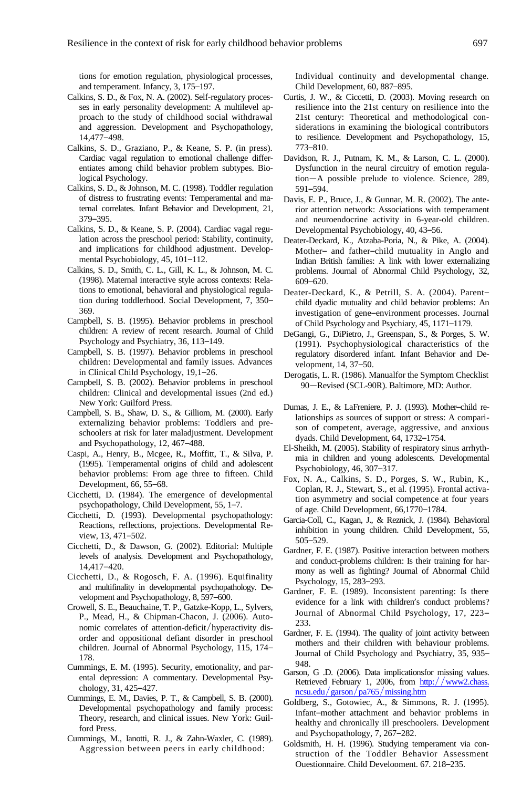tions for emotion regulation, physiological processes, and temperament. Infancy, 3, 175–197.

- Calkins, S. D., & Fox, N. A. (2002). Self-regulatory processes in early personality development: A multilevel approach to the study of childhood social withdrawal and aggression. Development and Psychopathology, 14,477–498.
- Calkins, S. D., Graziano, P., & Keane, S. P. (in press). Cardiac vagal regulation to emotional challenge differentiates among child behavior problem subtypes. Biological Psychology.
- Calkins, S. D., & Johnson, M. C. (1998). Toddler regulation of distress to frustrating events: Temperamental and maternal correlates. Infant Behavior and Development, 21, 379–395.
- Calkins, S. D., & Keane, S. P. (2004). Cardiac vagal regulation across the preschool period: Stability, continuity, and implications for childhood adjustment. Developmental Psychobiology, 45, 101–112.
- Calkins, S. D., Smith, C. L., Gill, K. L., & Johnson, M. C. (1998). Maternal interactive style across contexts: Relations to emotional, behavioral and physiological regulation during toddlerhood. Social Development, 7, 350– 369.
- Campbell, S. B. (1995). Behavior problems in preschool children: A review of recent research. Journal of Child Psychology and Psychiatry, 36, 113–149.
- Campbell, S. B. (1997). Behavior problems in preschool children: Developmental and family issues. Advances in Clinical Child Psychology, 19,1–26.
- Campbell, S. B. (2002). Behavior problems in preschool children: Clinical and developmental issues (2nd ed.) New York: Guilford Press.
- Campbell, S. B., Shaw, D. S., & Gilliom, M. (2000). Early externalizing behavior problems: Toddlers and preschoolers at risk for later maladjustment. Development and Psychopathology, 12, 467–488.
- Caspi, A., Henry, B., Mcgee, R., Moffitt, T., & Silva, P. (1995). Temperamental origins of child and adolescent behavior problems: From age three to fifteen. Child Development, 66, 55–68.
- Cicchetti, D. (1984). The emergence of developmental psychopathology, Child Development, 55, 1–7.
- Cicchetti, D. (1993). Developmental psychopathology: Reactions, reflections, projections. Developmental Review, 13, 471–502.
- Cicchetti, D., & Dawson, G. (2002). Editorial: Multiple levels of analysis. Development and Psychopathology, 14,417–420.
- Cicchetti, D., & Rogosch, F. A. (1996). Equifinality and multifinality in developmental psychopathology. Development and Psychopathology, 8, 597–600.
- Crowell, S. E., Beauchaine, T. P., Gatzke-Kopp, L., Sylvers, P., Mead, H., & Chipman-Chacon, J. (2006). Autonomic correlates of attention-deficit/hyperactivity disorder and oppositional defiant disorder in preschool children. Journal of Abnormal Psychology, 115, 174– 178.
- Cummings, E. M. (1995). Security, emotionality, and parental depression: A commentary. Developmental Psychology, 31, 425–427.
- Cummings, E. M., Davies, P. T., & Campbell, S. B. (2000). Developmental psychopathology and family process: Theory, research, and clinical issues. New York: Guilford Press.
- Cummings, M., Ianotti, R. J., & Zahn-Waxler, C. (1989). Aggression between peers in early childhood:

Individual continuity and developmental change. Child Development, 60, 887–895.

- Curtis, J. W., & Ciccetti, D. (2003). Moving research on resilience into the 21st century on resilience into the 21st century: Theoretical and methodological considerations in examining the biological contributors to resilience. Development and Psychopathology, 15, 773–810.
- Davidson, R. J., Putnam, K. M., & Larson, C. L. (2000). Dysfunction in the neural circuitry of emotion regulation—A possible prelude to violence. Science, 289, 591–594.
- Davis, E. P., Bruce, J., & Gunnar, M. R. (2002). The anterior attention network: Associations with temperament and neuroendocrine activity in 6-year-old children. Developmental Psychobiology, 40, 43–56.
- Deater-Deckard, K., Atzaba-Poria, N., & Pike, A. (2004). Mother– and father–child mutuality in Anglo and Indian British families: A link with lower externalizing problems. Journal of Abnormal Child Psychology, 32, 609–620.
- Deater-Deckard, K., & Petrill, S. A. (2004). Parent– child dyadic mutuality and child behavior problems: An investigation of gene–environment processes. Journal of Child Psychology and Psychiary, 45, 1171–1179.
- DeGangi, G., DiPietro, J., Greenspan, S., & Porges, S. W. (1991). Psychophysiological characteristics of the regulatory disordered infant. Infant Behavior and Development, 14, 37–50.
- Derogatis, L. R. (1986). Manualfor the Symptom Checklist 90—Revised (SCL-90R). Baltimore, MD: Author.
- Dumas, J. E., & LaFreniere, P. J. (1993). Mother–child relationships as sources of support or stress: A comparison of competent, average, aggressive, and anxious dyads. Child Development, 64, 1732–1754.
- El-Sheikh, M. (2005). Stability of respiratory sinus arrhythmia in children and young adolescents. Developmental Psychobiology, 46, 307–317.
- Fox, N. A., Calkins, S. D., Porges, S. W., Rubin, K., Coplan, R. J., Stewart, S., et al. (1995). Frontal activation asymmetry and social competence at four years of age. Child Development, 66,1770–1784.
- Garcia-Coll, C., Kagan, J., & Reznick, J. (1984). Behavioral inhibition in young children. Child Development, 55, 505–529.
- Gardner, F. E. (1987). Positive interaction between mothers and conduct-problems children: Is their training for harmony as well as fighting? Journal of Abnormal Child Psychology, 15, 283–293.
- Gardner, F. E. (1989). Inconsistent parenting: Is there evidence for a link with children's conduct problems? Journal of Abnormal Child Psychology, 17, 223– 233.
- Gardner, F. E. (1994). The quality of joint activity between mothers and their children with behaviour problems. Journal of Child Psychology and Psychiatry, 35, 935– 948.
- Garson, G .D. (2006). Data implicationsfor missing values. Retrieved February 1, 2006, from [http:](http://www2.chass.ncsu.edu/garson/pa765/missing.htm)//www2.chass. ncsu.edu/garson/pa765/missing.htm
- Goldberg, S., Gotowiec, A., & Simmons, R. J. (1995). Infant–mother attachment and behavior problems in healthy and chronically ill preschoolers. Development and Psychopathology, 7, 267–282.
- Goldsmith, H. H. (1996). Studying temperament via construction of the Toddler Behavior Assessment Questionnaire. Child Development, 67, 218–235.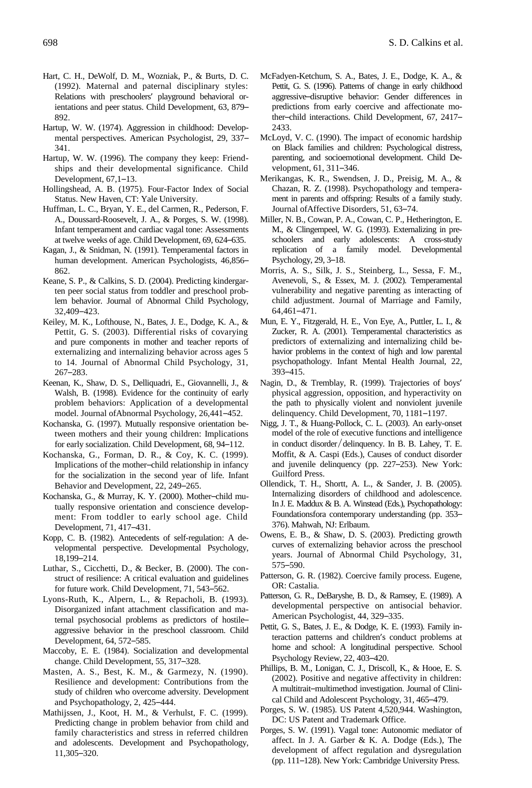- Hart, C. H., DeWolf, D. M., Wozniak, P., & Burts, D. C. (1992). Maternal and paternal disciplinary styles: Relations with preschoolers' playground behavioral orientations and peer status. Child Development, 63, 879– 892.
- Hartup, W. W. (1974). Aggression in childhood: Developmental perspectives. American Psychologist, 29, 337– 341.
- Hartup, W. W. (1996). The company they keep: Friendships and their developmental significance. Child Development, 67,1–13.
- Hollingshead, A. B. (1975). Four-Factor Index of Social Status. New Haven, CT: Yale University.
- Huffman, L. C., Bryan, Y. E., del Carmen, R., Pederson, F. A., Doussard-Roosevelt, J. A., & Porges, S. W. (1998). Infant temperament and cardiac vagal tone: Assessments at twelve weeks of age. Child Development, 69, 624–635.
- Kagan, J., & Snidman, N. (1991). Temperamental factors in human development. American Psychologists, 46,856– 862.
- Keane, S. P., & Calkins, S. D. (2004). Predicting kindergarten peer social status from toddler and preschool problem behavior. Journal of Abnormal Child Psychology, 32,409–423.
- Keiley, M. K., Lofthouse, N., Bates, J. E., Dodge, K. A., & Pettit, G. S. (2003). Differential risks of covarying and pure components in mother and teacher reports of externalizing and internalizing behavior across ages 5 to 14. Journal of Abnormal Child Psychology, 31, 267–283.
- Keenan, K., Shaw, D. S., Delliquadri, E., Giovannelli, J., & Walsh, B. (1998). Evidence for the continuity of early problem behaviors: Application of a developmental model. Journal ofAbnormal Psychology, 26,441–452.
- Kochanska, G. (1997). Mutually responsive orientation between mothers and their young children: Implications for early socialization. Child Development, 68, 94–112.
- Kochanska, G., Forman, D. R., & Coy, K. C. (1999). Implications of the mother–child relationship in infancy for the socialization in the second year of life. Infant Behavior and Development, 22, 249–265.
- Kochanska, G., & Murray, K. Y. (2000). Mother–child mutually responsive orientation and conscience development: From toddler to early school age. Child Development, 71, 417–431.
- Kopp, C. B. (1982). Antecedents of self-regulation: A developmental perspective. Developmental Psychology, 18,199–214.
- Luthar, S., Cicchetti, D., & Becker, B. (2000). The construct of resilience: A critical evaluation and guidelines for future work. Child Development, 71, 543–562.
- Lyons-Ruth, K., Alpern, L., & Repacholi, B. (1993). Disorganized infant attachment classification and maternal psychosocial problems as predictors of hostile– aggressive behavior in the preschool classroom. Child Development, 64, 572–585.
- Maccoby, E. E. (1984). Socialization and developmental change. Child Development, 55, 317–328.
- Masten, A. S., Best, K. M., & Garmezy, N. (1990). Resilience and development: Contributions from the study of children who overcome adversity. Development and Psychopathology, 2, 425–444.
- Mathijssen, J., Koot, H. M., & Verhulst, F. C. (1999). Predicting change in problem behavior from child and family characteristics and stress in referred children and adolescents. Development and Psychopathology, 11,305–320.
- McFadyen-Ketchum, S. A., Bates, J. E., Dodge, K. A., & Pettit, G. S. (1996). Patterns of change in early childhood aggressive–disruptive behavior: Gender differences in predictions from early coercive and affectionate mother–child interactions. Child Development, 67, 2417– 2433.
- McLoyd, V. C. (1990). The impact of economic hardship on Black families and children: Psychological distress, parenting, and socioemotional development. Child Development, 61, 311–346.
- Merikangas, K. R., Swendsen, J. D., Preisig, M. A., & Chazan, R. Z. (1998). Psychopathology and temperament in parents and offspring: Results of a family study. Journal ofAffective Disorders, 51, 63–74.
- Miller, N. B., Cowan, P. A., Cowan, C. P., Hetherington, E. M., & Clingempeel, W. G. (1993). Externalizing in preschoolers and early adolescents: A cross-study replication of a family model. Developmental Psychology, 29, 3–18.
- Morris, A. S., Silk, J. S., Steinberg, L., Sessa, F. M., Avenevoli, S., & Essex, M. J. (2002). Temperamental vulnerability and negative parenting as interacting of child adjustment. Journal of Marriage and Family, 64,461–471.
- Mun, E. Y., Fitzgerald, H. E., Von Eye, A., Puttler, L. I., & Zucker, R. A. (2001). Temperamental characteristics as predictors of externalizing and internalizing child behavior problems in the context of high and low parental psychopathology. Infant Mental Health Journal, 22, 393–415.
- Nagin, D., & Tremblay, R. (1999). Trajectories of boys' physical aggression, opposition, and hyperactivity on the path to physically violent and nonviolent juvenile delinquency. Child Development, 70, 1181–1197.
- Nigg, J. T., & Huang-Pollock, C. L. (2003). An early-onset model of the role of executive functions and intelligence in conduct disorder/delinquency. In B. B. Lahey, T. E. Moffit, & A. Caspi (Eds.), Causes of conduct disorder and juvenile delinquency (pp. 227–253). New York: Guilford Press.
- Ollendick, T. H., Shortt, A. L., & Sander, J. B. (2005). Internalizing disorders of childhood and adolescence. In J. E. Maddux & B. A. Winstead (Eds.), Psychopathology: Foundationsfora contemporary understanding (pp. 353– 376). Mahwah, NJ: Erlbaum.
- Owens, E. B., & Shaw, D. S. (2003). Predicting growth curves of externalizing behavior across the preschool years. Journal of Abnormal Child Psychology, 31, 575–590.
- Patterson, G. R. (1982). Coercive family process. Eugene, OR: Castalia.
- Patterson, G. R., DeBaryshe, B. D., & Ramsey, E. (1989). A developmental perspective on antisocial behavior. American Psychologist, 44, 329–335.
- Pettit, G. S., Bates, J. E., & Dodge, K. E. (1993). Family interaction patterns and children's conduct problems at home and school: A longitudinal perspective. School Psychology Review, 22, 403–420.
- Phillips, B. M., Lonigan, C. J., Driscoll, K., & Hooe, E. S. (2002). Positive and negative affectivity in children: A multitrait–multimethod investigation. Journal of Clinical Child and Adolescent Psychology, 31, 465–479.
- Porges, S. W. (1985). US Patent 4,520,944. Washington, DC: US Patent and Trademark Office.
- Porges, S. W. (1991). Vagal tone: Autonomic mediator of affect. In J. A. Garber & K. A. Dodge (Eds.), The development of affect regulation and dysregulation (pp. 111–128). New York: Cambridge University Press.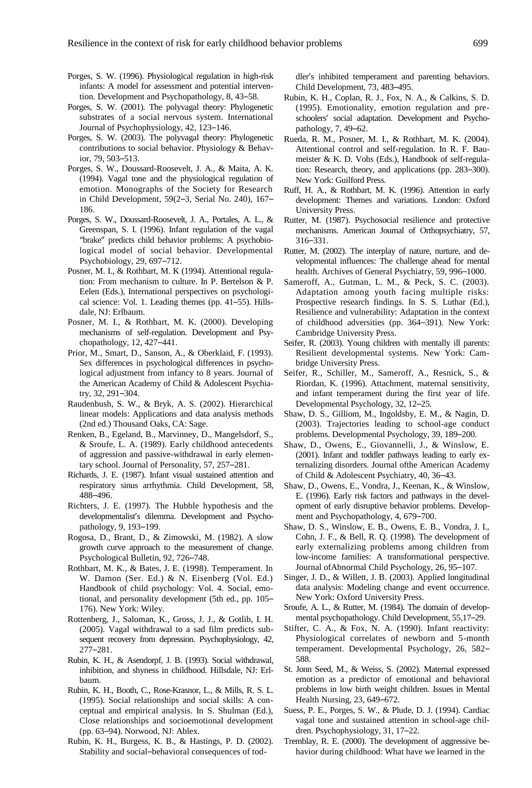- Porges, S. W. (1996). Physiological regulation in high-risk infants: A model for assessment and potential intervention. Development and Psychopathology, 8, 43–58.
- Porges, S. W. (2001). The polyvagal theory: Phylogenetic substrates of a social nervous system. International Journal of Psychophysiology, 42, 123–146.
- Porges, S. W. (2003). The polyvagal theory: Phylogenetic contributions to social behavior. Physiology & Behavior, 79, 503–513.
- Porges, S. W., Doussard-Roosevelt, J. A., & Maita, A. K. (1994). Vagal tone and the physiological regulation of emotion. Monographs of the Society for Research in Child Development, 59(2–3, Serial No. 240), 167– 186.
- Porges, S. W., Doussard-Roosevelt, J. A., Portales, A. L., & Greenspan, S. I. (1996). Infant regulation of the vagal "brake" predicts child behavior problems: A psychobiological model of social behavior. Developmental Psychobiology, 29, 697–712.
- Posner, M. I., & Rothbart, M. K (1994). Attentional regulation: From mechanism to culture. In P. Bertelson & P. Eelen (Eds.), International perspectives on psychological science: Vol. 1. Leading themes (pp. 41–55). Hillsdale, NJ: Erlbaum.
- Posner, M. I., & Rothbart, M. K. (2000). Developing mechanisms of self-regulation. Development and Psychopathology, 12, 427–441.
- Prior, M., Smart, D., Sanson, A., & Oberklaid, F. (1993). Sex differences in psychological differences in psychological adjustment from infancy to 8 years. Journal of the American Academy of Child & Adolescent Psychiatry, 32, 291–304.
- Raudenbush, S. W., & Bryk, A. S. (2002). Hierarchical linear models: Applications and data analysis methods (2nd ed.) Thousand Oaks, CA: Sage.
- Renken, B., Egeland, B., Marvinney, D., Mangelsdorf, S., & Sroufe, L. A. (1989). Early childhood antecedents of aggression and passive-withdrawal in early elementary school. Journal of Personality, 57, 257–281.
- Richards, J. E. (1987). Infant visual sustained attention and respiratory sinus arrhythmia. Child Development, 58, 488–496.
- Richters, J. E. (1997). The Hubble hypothesis and the developmentalist's dilemma. Development and Psychopathology, 9, 193–199.
- Rogosa, D., Brant, D., & Zimowski, M. (1982). A slow growth curve approach to the measurement of change. Psychological Bulletin, 92, 726–748.
- Rothbart, M. K., & Bates, J. E. (1998). Temperament. In W. Damon (Ser. Ed.) & N. Eisenberg (Vol. Ed.) Handbook of child psychology: Vol. 4. Social, emotional, and personality development (5th ed., pp. 105– 176). New York: Wiley.
- Rottenberg, J., Saloman, K., Gross, J. J., & Gotlib, I. H. (2005). Vagal withdrawal to a sad film predicts subsequent recovery from depression. Psychophysiology, 42, 277–281.
- Rubin, K. H., & Asendorpf, J. B. (1993). Social withdrawal, inhibition, and shyness in childhood. Hillsdale, NJ: Erlbaum.
- Rubin, K. H., Booth, C., Rose-Krasnor, L., & Mills, R. S. L. (1995). Social relationships and social skills: A conceptual and empirical analysis. In S. Shulman (Ed.), Close relationships and socioemotional development (pp. 63–94). Norwood, NJ: Ablex.
- Rubin, K. H., Burgess, K. B., & Hastings, P. D. (2002). Stability and social–behavioral consequences of tod-

dler's inhibited temperament and parenting behaviors. Child Development, 73, 483–495.

- Rubin, K. H., Coplan, R. J., Fox, N. A., & Calkins, S. D. (1995). Emotionality, emotion regulation and preschoolers' social adaptation. Development and Psychopathology, 7, 49–62.
- Rueda, R. M., Posner, M. I., & Rothbart, M. K. (2004). Attentional control and self-regulation. In R. F. Baumeister & K. D. Vohs (Eds.), Handbook of self-regulation: Research, theory, and applications (pp. 283–300). New York: Guilford Press.
- Ruff, H. A., & Rothbart, M. K. (1996). Attention in early development: Themes and variations. London: Oxford University Press.
- Rutter, M. (1987). Psychosocial resilience and protective mechanisms. American Journal of Orthopsychiatry, 57, 316–331.
- Rutter, M. (2002). The interplay of nature, nurture, and developmental influences: The challenge ahead for mental health. Archives of General Psychiatry, 59, 996–1000.
- Sameroff, A., Gutman, L. M., & Peck, S. C. (2003). Adaptation among youth facing multiple risks: Prospective research findings. In S. S. Luthar (Ed.), Resilience and vulnerability: Adaptation in the context of childhood adversities (pp. 364–391). New York: Cambridge University Press.
- Seifer, R. (2003). Young children with mentally ill parents: Resilient developmental systems. New York: Cambridge University Press.
- Seifer, R., Schiller, M., Sameroff, A., Resnick, S., & Riordan, K. (1996). Attachment, maternal sensitivity, and infant temperament during the first year of life. Developmental Psychology, 32, 12–25.
- Shaw, D. S., Gilliom, M., Ingoldsby, E. M., & Nagin, D. (2003). Trajectories leading to school-age conduct problems. Developmental Psychology, 39, 189–200.
- Shaw, D., Owens, E., Giovannelli, J., & Winslow, E. (2001). Infant and toddler pathways leading to early externalizing disorders. Journal ofthe American Academy of Child & Adolescent Psychiatry, 40, 36–43.
- Shaw, D., Owens, E., Vondra, J., Keenan, K., & Winslow, E. (1996). Early risk factors and pathways in the development of early disruptive behavior problems. Development and Psychopathology, 4, 679–700.
- Shaw, D. S., Winslow, E. B., Owens, E. B., Vondra, J. I., Cohn, J. F., & Bell, R. Q. (1998). The development of early externalizing problems among children from low-income families: A transformational perspective. Journal ofAbnormal Child Psychology, 26, 95–107.
- Singer, J. D., & Willett, J. B. (2003). Applied longitudinal data analysis: Modeling change and event occurrence. New York: Oxford University Press.
- Sroufe, A. L., & Rutter, M. (1984). The domain of developmental psychopathology. Child Development, 55,17–29.
- Stifter, C. A., & Fox, N. A. (1990). Infant reactivity: Physiological correlates of newborn and 5-month temperament. Developmental Psychology, 26, 582– 588.
- St. Jonn Seed, M., & Weiss, S. (2002). Maternal expressed emotion as a predictor of emotional and behavioral problems in low birth weight children. Issues in Mental Health Nursing, 23, 649–672.
- Suess, P. E., Porges, S. W., & Plude, D. J. (1994). Cardiac vagal tone and sustained attention in school-age children. Psychophysiology, 31, 17–22.
- Tremblay, R. E. (2000). The development of aggressive behavior during childhood: What have we learned in the